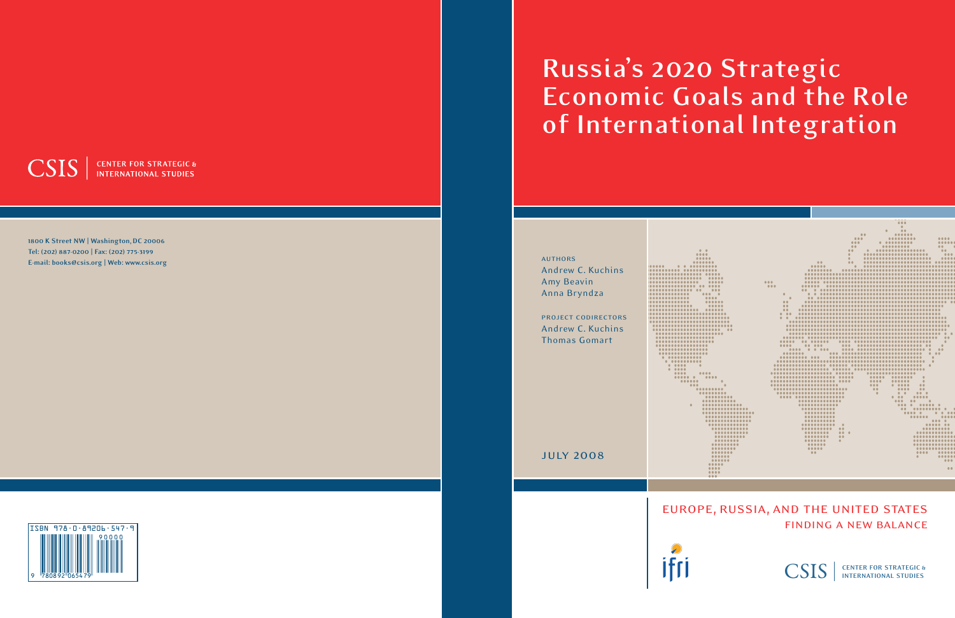# **Russia's 2020 Strategic Economic Goals and the Role of International Integration**



finding a new balance

CSIS **CENTER FOR STRATEGIC & INTERNATIONAL STUDIES**

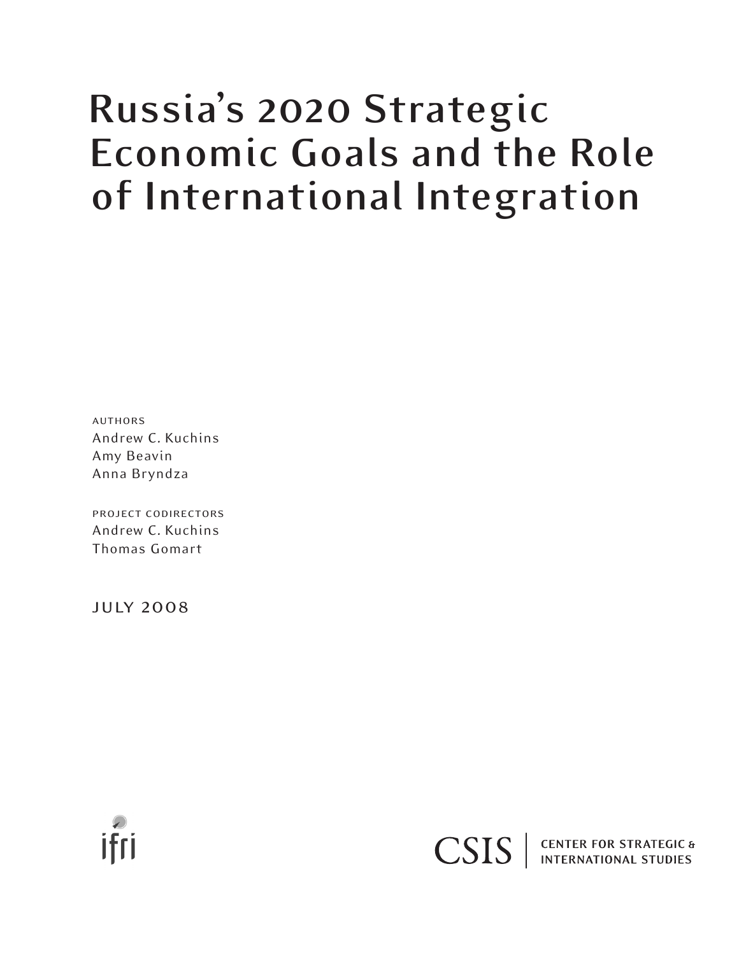# **Russia's 2020 Strategic Economic Goals and the Role of International Integration**

authors Andrew C. Kuchins Amy Beavin Anna Bryndza

project codirectors Andrew C. Kuchins Thomas Gomart

july 2008



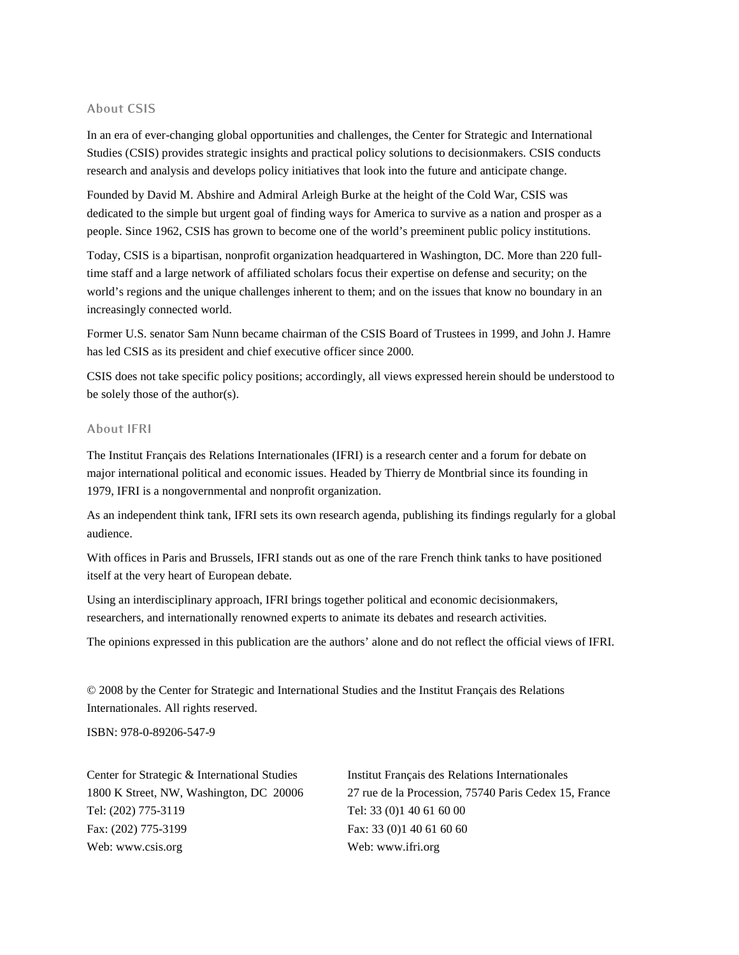#### **About CSIS**

In an era of ever-changing global opportunities and challenges, the Center for Strategic and International Studies (CSIS) provides strategic insights and practical policy solutions to decisionmakers. CSIS conducts research and analysis and develops policy initiatives that look into the future and anticipate change.

Founded by David M. Abshire and Admiral Arleigh Burke at the height of the Cold War, CSIS was dedicated to the simple but urgent goal of finding ways for America to survive as a nation and prosper as a people. Since 1962, CSIS has grown to become one of the world's preeminent public policy institutions.

Today, CSIS is a bipartisan, nonprofit organization headquartered in Washington, DC. More than 220 fulltime staff and a large network of affiliated scholars focus their expertise on defense and security; on the world's regions and the unique challenges inherent to them; and on the issues that know no boundary in an increasingly connected world.

Former U.S. senator Sam Nunn became chairman of the CSIS Board of Trustees in 1999, and John J. Hamre has led CSIS as its president and chief executive officer since 2000.

CSIS does not take specific policy positions; accordingly, all views expressed herein should be understood to be solely those of the author(s).

#### **About IFRI**

The Institut Français des Relations Internationales (IFRI) is a research center and a forum for debate on major international political and economic issues. Headed by Thierry de Montbrial since its founding in 1979, IFRI is a nongovernmental and nonprofit organization.

As an independent think tank, IFRI sets its own research agenda, publishing its findings regularly for a global audience.

With offices in Paris and Brussels, IFRI stands out as one of the rare French think tanks to have positioned itself at the very heart of European debate.

Using an interdisciplinary approach, IFRI brings together political and economic decisionmakers, researchers, and internationally renowned experts to animate its debates and research activities.

The opinions expressed in this publication are the authors' alone and do not reflect the official views of IFRI.

© 2008 by the Center for Strategic and International Studies and the Institut Français des Relations Internationales. All rights reserved.

ISBN: 978-0-89206-547-9

Center for Strategic & International Studies Institut Français des Relations Internationales Tel: (202) 775-3119 Tel: 33 (0) 1 40 61 60 00 Fax: (202) 775-3199 Fax: 33 (0)1 40 61 60 60 Web: www.csis.org Web: www.ifri.org

1800 K Street, NW, Washington, DC 20006 27 rue de la Procession, 75740 Paris Cedex 15, France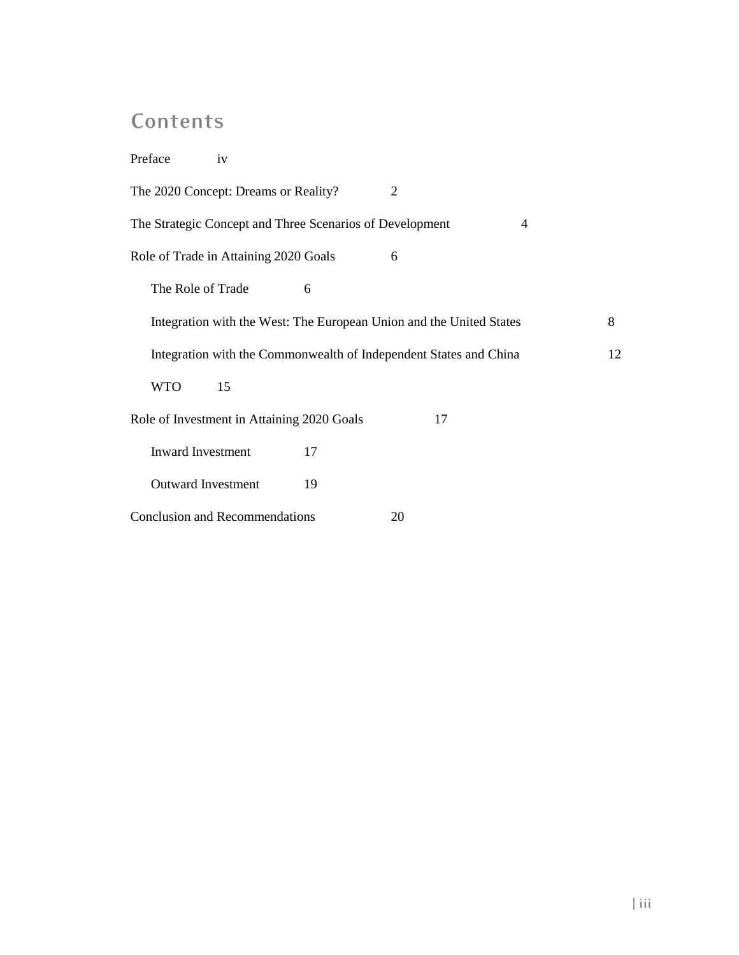# **Contents**

| Preface<br>iv                                                       |                                                          |    |                |  |
|---------------------------------------------------------------------|----------------------------------------------------------|----|----------------|--|
| The 2020 Concept: Dreams or Reality?                                |                                                          | 2  |                |  |
|                                                                     | The Strategic Concept and Three Scenarios of Development |    | $\overline{4}$ |  |
| Role of Trade in Attaining 2020 Goals                               |                                                          | 6  |                |  |
| The Role of Trade                                                   | 6                                                        |    |                |  |
| Integration with the West: The European Union and the United States |                                                          |    |                |  |
| Integration with the Commonwealth of Independent States and China   |                                                          |    |                |  |
| <b>WTO</b><br>15                                                    |                                                          |    |                |  |
|                                                                     | Role of Investment in Attaining 2020 Goals               | 17 |                |  |
| <b>Inward Investment</b>                                            | 17                                                       |    |                |  |
| <b>Outward Investment</b>                                           | 19                                                       |    |                |  |
| <b>Conclusion and Recommendations</b>                               |                                                          | 20 |                |  |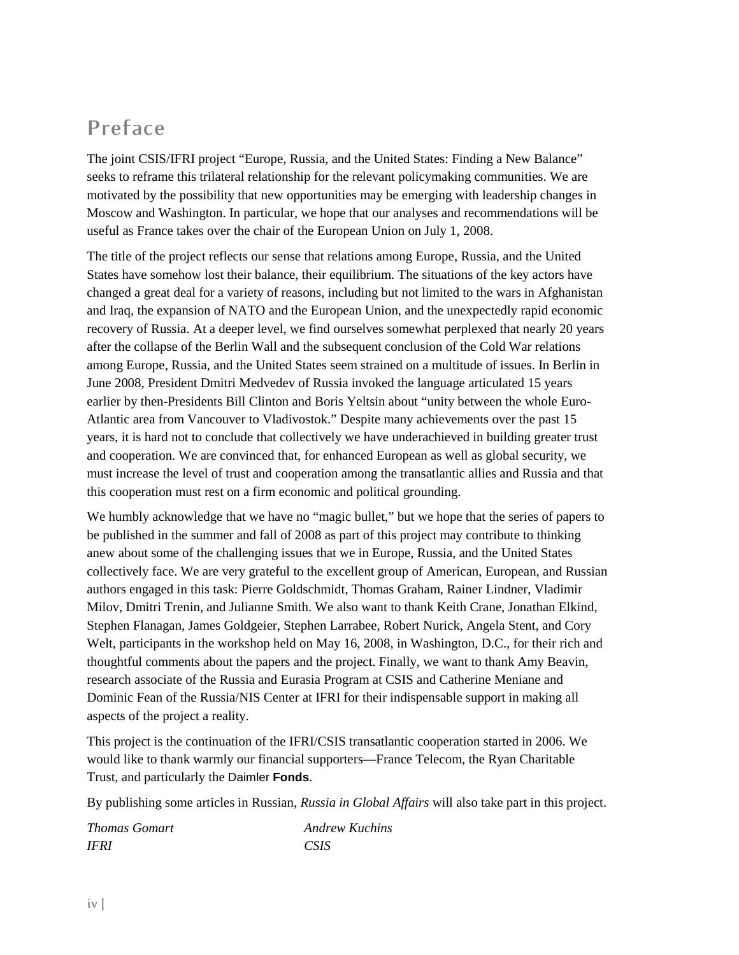### **Preface**

The joint CSIS/IFRI project "Europe, Russia, and the United States: Finding a New Balance" seeks to reframe this trilateral relationship for the relevant policymaking communities. We are motivated by the possibility that new opportunities may be emerging with leadership changes in Moscow and Washington. In particular, we hope that our analyses and recommendations will be useful as France takes over the chair of the European Union on July 1, 2008.

The title of the project reflects our sense that relations among Europe, Russia, and the United States have somehow lost their balance, their equilibrium. The situations of the key actors have changed a great deal for a variety of reasons, including but not limited to the wars in Afghanistan and Iraq, the expansion of NATO and the European Union, and the unexpectedly rapid economic recovery of Russia. At a deeper level, we find ourselves somewhat perplexed that nearly 20 years after the collapse of the Berlin Wall and the subsequent conclusion of the Cold War relations among Europe, Russia, and the United States seem strained on a multitude of issues. In Berlin in June 2008, President Dmitri Medvedev of Russia invoked the language articulated 15 years earlier by then-Presidents Bill Clinton and Boris Yeltsin about "unity between the whole Euro-Atlantic area from Vancouver to Vladivostok." Despite many achievements over the past 15 years, it is hard not to conclude that collectively we have underachieved in building greater trust and cooperation. We are convinced that, for enhanced European as well as global security, we must increase the level of trust and cooperation among the transatlantic allies and Russia and that this cooperation must rest on a firm economic and political grounding.

We humbly acknowledge that we have no "magic bullet," but we hope that the series of papers to be published in the summer and fall of 2008 as part of this project may contribute to thinking anew about some of the challenging issues that we in Europe, Russia, and the United States collectively face. We are very grateful to the excellent group of American, European, and Russian authors engaged in this task: Pierre Goldschmidt, Thomas Graham, Rainer Lindner, Vladimir Milov, Dmitri Trenin, and Julianne Smith. We also want to thank Keith Crane, Jonathan Elkind, Stephen Flanagan, James Goldgeier, Stephen Larrabee, Robert Nurick, Angela Stent, and Cory Welt, participants in the workshop held on May 16, 2008, in Washington, D.C., for their rich and thoughtful comments about the papers and the project. Finally, we want to thank Amy Beavin, research associate of the Russia and Eurasia Program at CSIS and Catherine Meniane and Dominic Fean of the Russia/NIS Center at IFRI for their indispensable support in making all aspects of the project a reality.

This project is the continuation of the IFRI/CSIS transatlantic cooperation started in 2006. We would like to thank warmly our financial supporters—France Telecom, the Ryan Charitable Trust, and particularly the Daimler **Fonds**.

By publishing some articles in Russian, *Russia in Global Affairs* will also take part in this project.

| <b>Thomas Gomart</b> | <b>Andrew Kuchins</b> |
|----------------------|-----------------------|
| <b>IFRI</b>          | CSIS                  |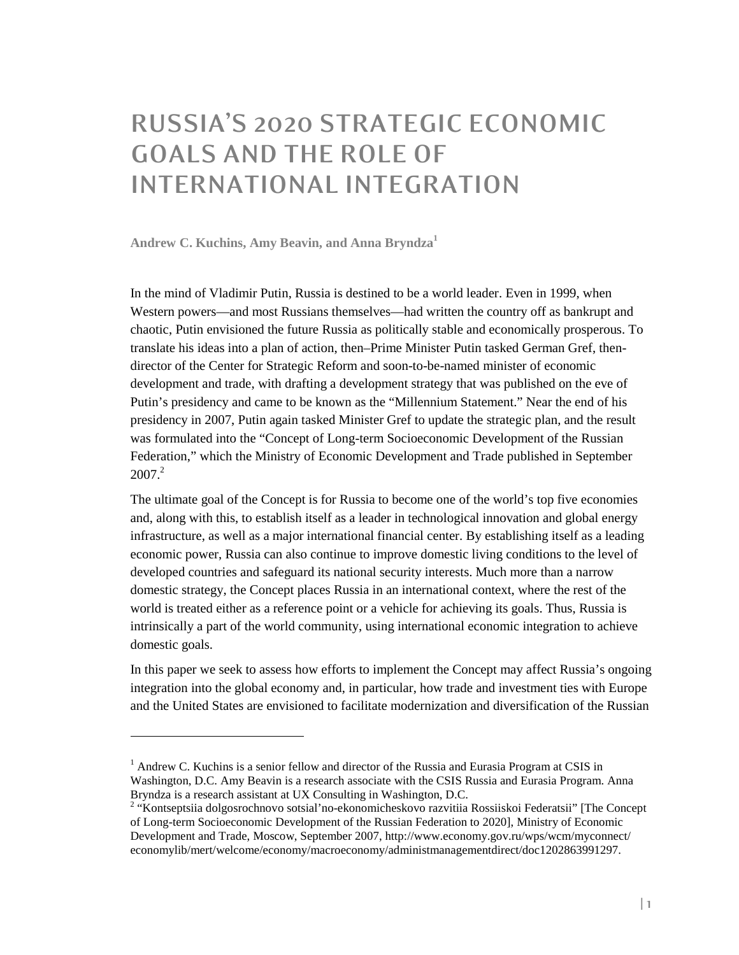# **RUSSIA'S 2020 STRATEGIC ECONOMIC GOALS AND THE ROLE OF INTERNATIONAL INTEGRATION**

**Andrew C. Kuchins, Amy Beavin, and Anna Bryndza<sup>1</sup>**

-

In the mind of Vladimir Putin, Russia is destined to be a world leader. Even in 1999, when Western powers—and most Russians themselves—had written the country off as bankrupt and chaotic, Putin envisioned the future Russia as politically stable and economically prosperous. To translate his ideas into a plan of action, then–Prime Minister Putin tasked German Gref, thendirector of the Center for Strategic Reform and soon-to-be-named minister of economic development and trade, with drafting a development strategy that was published on the eve of Putin's presidency and came to be known as the "Millennium Statement." Near the end of his presidency in 2007, Putin again tasked Minister Gref to update the strategic plan, and the result was formulated into the "Concept of Long-term Socioeconomic Development of the Russian Federation," which the Ministry of Economic Development and Trade published in September  $2007<sup>2</sup>$ 

The ultimate goal of the Concept is for Russia to become one of the world's top five economies and, along with this, to establish itself as a leader in technological innovation and global energy infrastructure, as well as a major international financial center. By establishing itself as a leading economic power, Russia can also continue to improve domestic living conditions to the level of developed countries and safeguard its national security interests. Much more than a narrow domestic strategy, the Concept places Russia in an international context, where the rest of the world is treated either as a reference point or a vehicle for achieving its goals. Thus, Russia is intrinsically a part of the world community, using international economic integration to achieve domestic goals.

In this paper we seek to assess how efforts to implement the Concept may affect Russia's ongoing integration into the global economy and, in particular, how trade and investment ties with Europe and the United States are envisioned to facilitate modernization and diversification of the Russian

<sup>&</sup>lt;sup>1</sup> Andrew C. Kuchins is a senior fellow and director of the Russia and Eurasia Program at CSIS in Washington, D.C. Amy Beavin is a research associate with the CSIS Russia and Eurasia Program. Anna Bryndza is a research assistant at UX Consulting in Washington, D.C.

<sup>&</sup>lt;sup>2</sup> "Kontseptsiia dolgosrochnovo sotsial'no-ekonomicheskovo razvitiia Rossiiskoi Federatsii" [The Concept of Long-term Socioeconomic Development of the Russian Federation to 2020], Ministry of Economic Development and Trade, Moscow, September 2007, http://www.economy.gov.ru/wps/wcm/myconnect/ economylib/mert/welcome/economy/macroeconomy/administmanagementdirect/doc1202863991297.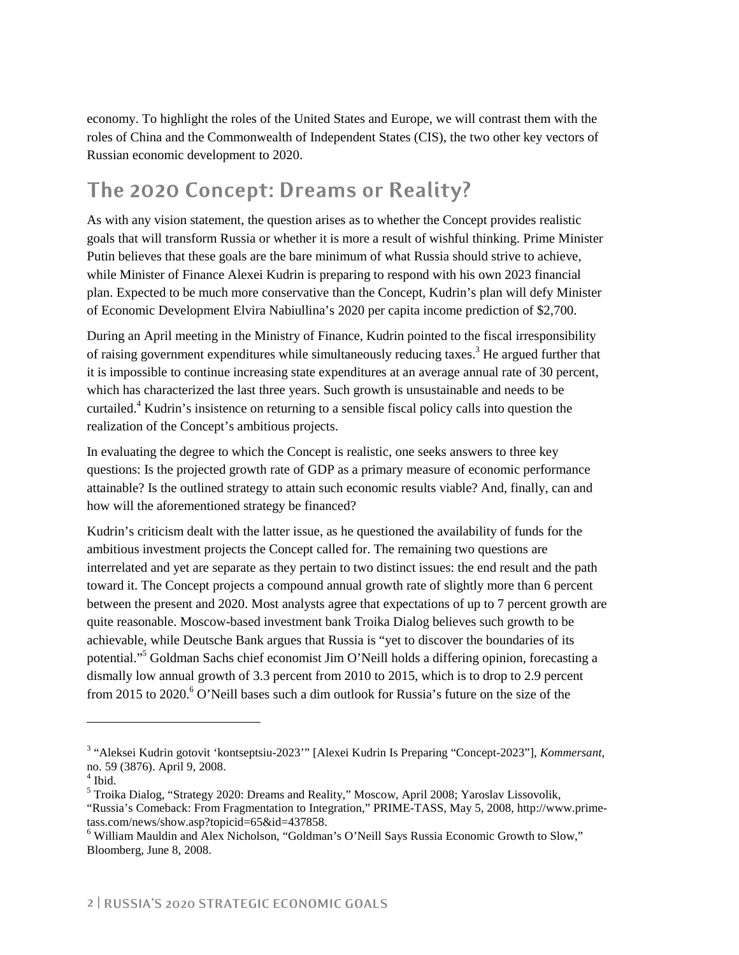economy. To highlight the roles of the United States and Europe, we will contrast them with the roles of China and the Commonwealth of Independent States (CIS), the two other key vectors of Russian economic development to 2020.

# **The 2020 Concept: Dreams or Reality?**

As with any vision statement, the question arises as to whether the Concept provides realistic goals that will transform Russia or whether it is more a result of wishful thinking. Prime Minister Putin believes that these goals are the bare minimum of what Russia should strive to achieve, while Minister of Finance Alexei Kudrin is preparing to respond with his own 2023 financial plan. Expected to be much more conservative than the Concept, Kudrin's plan will defy Minister of Economic Development Elvira Nabiullina's 2020 per capita income prediction of \$2,700.

During an April meeting in the Ministry of Finance, Kudrin pointed to the fiscal irresponsibility of raising government expenditures while simultaneously reducing taxes.<sup>3</sup> He argued further that it is impossible to continue increasing state expenditures at an average annual rate of 30 percent, which has characterized the last three years. Such growth is unsustainable and needs to be curtailed.<sup>4</sup> Kudrin's insistence on returning to a sensible fiscal policy calls into question the realization of the Concept's ambitious projects.

In evaluating the degree to which the Concept is realistic, one seeks answers to three key questions: Is the projected growth rate of GDP as a primary measure of economic performance attainable? Is the outlined strategy to attain such economic results viable? And, finally, can and how will the aforementioned strategy be financed?

Kudrin's criticism dealt with the latter issue, as he questioned the availability of funds for the ambitious investment projects the Concept called for. The remaining two questions are interrelated and yet are separate as they pertain to two distinct issues: the end result and the path toward it. The Concept projects a compound annual growth rate of slightly more than 6 percent between the present and 2020. Most analysts agree that expectations of up to 7 percent growth are quite reasonable. Moscow-based investment bank Troika Dialog believes such growth to be achievable, while Deutsche Bank argues that Russia is "yet to discover the boundaries of its potential."<sup>5</sup> Goldman Sachs chief economist Jim O'Neill holds a differing opinion, forecasting a dismally low annual growth of 3.3 percent from 2010 to 2015, which is to drop to 2.9 percent from 2015 to 2020.<sup>6</sup> O'Neill bases such a dim outlook for Russia's future on the size of the

<sup>3</sup> "Aleksei Kudrin gotovit 'kontseptsiu-2023'" [Alexei Kudrin Is Preparing "Concept-2023"], *Kommersant*, no. 59 (3876). April 9, 2008.

<sup>4</sup> Ibid.

<sup>&</sup>lt;sup>5</sup> Troika Dialog, "Strategy 2020: Dreams and Reality," Moscow, April 2008; Yaroslav Lissovolik,

<sup>&</sup>quot;Russia's Comeback: From Fragmentation to Integration," PRIME-TASS, May 5, 2008, http://www.primetass.com/news/show.asp?topicid=65&id=437858.

<sup>6</sup> William Mauldin and Alex Nicholson, "Goldman's O'Neill Says Russia Economic Growth to Slow," Bloomberg, June 8, 2008.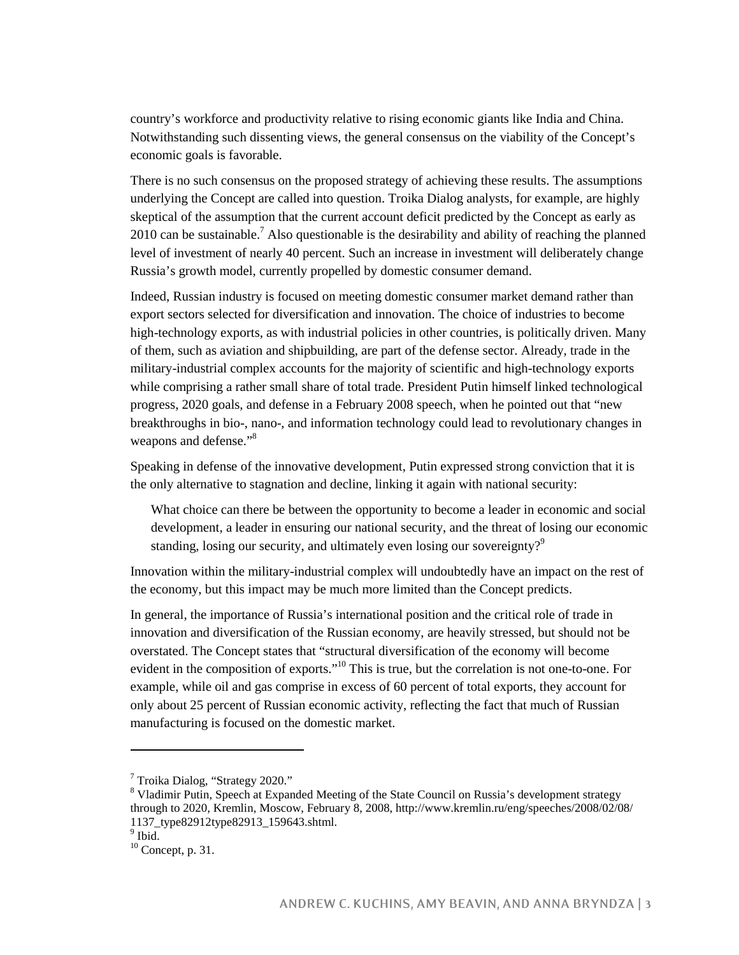country's workforce and productivity relative to rising economic giants like India and China. Notwithstanding such dissenting views, the general consensus on the viability of the Concept's economic goals is favorable.

There is no such consensus on the proposed strategy of achieving these results. The assumptions underlying the Concept are called into question. Troika Dialog analysts, for example, are highly skeptical of the assumption that the current account deficit predicted by the Concept as early as 2010 can be sustainable.<sup>7</sup> Also questionable is the desirability and ability of reaching the planned level of investment of nearly 40 percent. Such an increase in investment will deliberately change Russia's growth model, currently propelled by domestic consumer demand.

Indeed, Russian industry is focused on meeting domestic consumer market demand rather than export sectors selected for diversification and innovation. The choice of industries to become high-technology exports, as with industrial policies in other countries, is politically driven. Many of them, such as aviation and shipbuilding, are part of the defense sector. Already, trade in the military-industrial complex accounts for the majority of scientific and high-technology exports while comprising a rather small share of total trade. President Putin himself linked technological progress, 2020 goals, and defense in a February 2008 speech, when he pointed out that "new breakthroughs in bio-, nano-, and information technology could lead to revolutionary changes in weapons and defense."<sup>8</sup>

Speaking in defense of the innovative development, Putin expressed strong conviction that it is the only alternative to stagnation and decline, linking it again with national security:

What choice can there be between the opportunity to become a leader in economic and social development, a leader in ensuring our national security, and the threat of losing our economic standing, losing our security, and ultimately even losing our sovereignty?<sup>9</sup>

Innovation within the military-industrial complex will undoubtedly have an impact on the rest of the economy, but this impact may be much more limited than the Concept predicts.

In general, the importance of Russia's international position and the critical role of trade in innovation and diversification of the Russian economy, are heavily stressed, but should not be overstated. The Concept states that "structural diversification of the economy will become evident in the composition of exports."<sup>10</sup> This is true, but the correlation is not one-to-one. For example, while oil and gas comprise in excess of 60 percent of total exports, they account for only about 25 percent of Russian economic activity, reflecting the fact that much of Russian manufacturing is focused on the domestic market.

<sup>&</sup>lt;sup>7</sup> Troika Dialog, "Strategy 2020."

<sup>&</sup>lt;sup>8</sup> Vladimir Putin, Speech at Expanded Meeting of the State Council on Russia's development strategy through to 2020, Kremlin, Moscow, February 8, 2008, http://www.kremlin.ru/eng/speeches/2008/02/08/ 1137\_type82912type82913\_159643.shtml.

<sup>&</sup>lt;sup>9</sup> Ibid.

 $10$  Concept, p. 31.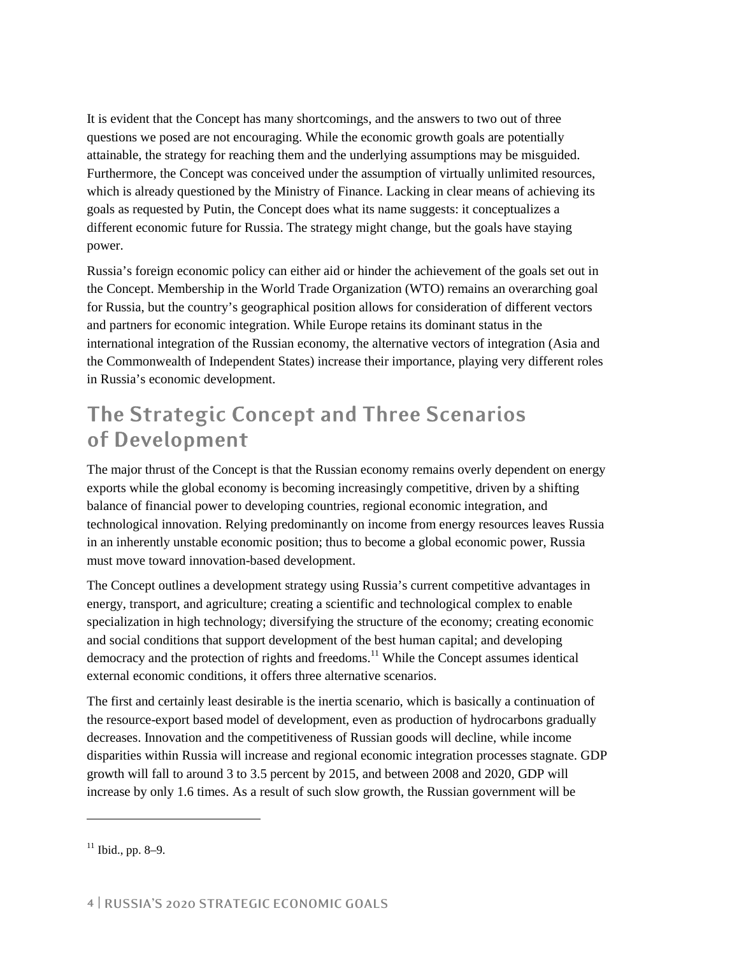It is evident that the Concept has many shortcomings, and the answers to two out of three questions we posed are not encouraging. While the economic growth goals are potentially attainable, the strategy for reaching them and the underlying assumptions may be misguided. Furthermore, the Concept was conceived under the assumption of virtually unlimited resources, which is already questioned by the Ministry of Finance. Lacking in clear means of achieving its goals as requested by Putin, the Concept does what its name suggests: it conceptualizes a different economic future for Russia. The strategy might change, but the goals have staying power.

Russia's foreign economic policy can either aid or hinder the achievement of the goals set out in the Concept. Membership in the World Trade Organization (WTO) remains an overarching goal for Russia, but the country's geographical position allows for consideration of different vectors and partners for economic integration. While Europe retains its dominant status in the international integration of the Russian economy, the alternative vectors of integration (Asia and the Commonwealth of Independent States) increase their importance, playing very different roles in Russia's economic development.

# **The Strategic Concept and Three Scenarios of Development**

The major thrust of the Concept is that the Russian economy remains overly dependent on energy exports while the global economy is becoming increasingly competitive, driven by a shifting balance of financial power to developing countries, regional economic integration, and technological innovation. Relying predominantly on income from energy resources leaves Russia in an inherently unstable economic position; thus to become a global economic power, Russia must move toward innovation-based development.

The Concept outlines a development strategy using Russia's current competitive advantages in energy, transport, and agriculture; creating a scientific and technological complex to enable specialization in high technology; diversifying the structure of the economy; creating economic and social conditions that support development of the best human capital; and developing democracy and the protection of rights and freedoms.<sup>11</sup> While the Concept assumes identical external economic conditions, it offers three alternative scenarios.

The first and certainly least desirable is the inertia scenario, which is basically a continuation of the resource-export based model of development, even as production of hydrocarbons gradually decreases. Innovation and the competitiveness of Russian goods will decline, while income disparities within Russia will increase and regional economic integration processes stagnate. GDP growth will fall to around 3 to 3.5 percent by 2015, and between 2008 and 2020, GDP will increase by only 1.6 times. As a result of such slow growth, the Russian government will be

 $11$  Ibid., pp. 8–9.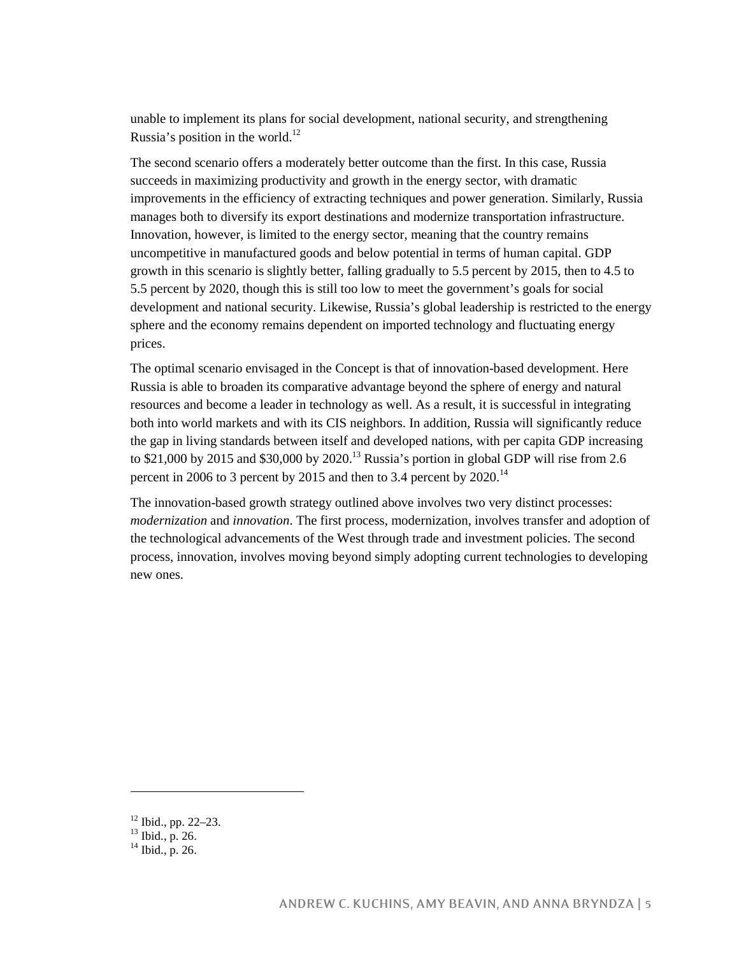unable to implement its plans for social development, national security, and strengthening Russia's position in the world.<sup>12</sup>

The second scenario offers a moderately better outcome than the first. In this case, Russia succeeds in maximizing productivity and growth in the energy sector, with dramatic improvements in the efficiency of extracting techniques and power generation. Similarly, Russia manages both to diversify its export destinations and modernize transportation infrastructure. Innovation, however, is limited to the energy sector, meaning that the country remains uncompetitive in manufactured goods and below potential in terms of human capital. GDP growth in this scenario is slightly better, falling gradually to 5.5 percent by 2015, then to 4.5 to 5.5 percent by 2020, though this is still too low to meet the government's goals for social development and national security. Likewise, Russia's global leadership is restricted to the energy sphere and the economy remains dependent on imported technology and fluctuating energy prices.

The optimal scenario envisaged in the Concept is that of innovation-based development. Here Russia is able to broaden its comparative advantage beyond the sphere of energy and natural resources and become a leader in technology as well. As a result, it is successful in integrating both into world markets and with its CIS neighbors. In addition, Russia will significantly reduce the gap in living standards between itself and developed nations, with per capita GDP increasing to \$21,000 by 2015 and \$30,000 by 2020.<sup>13</sup> Russia's portion in global GDP will rise from 2.6 percent in 2006 to 3 percent by 2015 and then to 3.4 percent by 2020.<sup>14</sup>

The innovation-based growth strategy outlined above involves two very distinct processes: *modernization* and *innovation*. The first process, modernization, involves transfer and adoption of the technological advancements of the West through trade and investment policies. The second process, innovation, involves moving beyond simply adopting current technologies to developing new ones.

<sup>12</sup> Ibid., pp. 22–23.

 $^{13}$  Ibid., p. 26.

<sup>14</sup> Ibid., p. 26.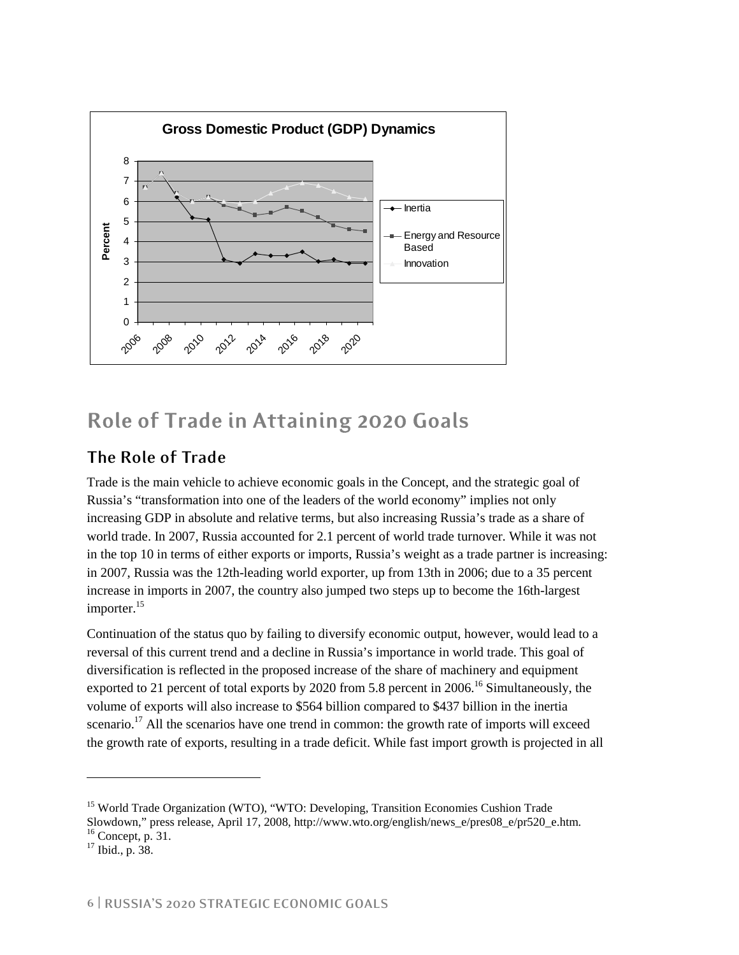

# **Role of Trade in Attaining 2020 Goals**

#### **The Role of Trade**

Trade is the main vehicle to achieve economic goals in the Concept, and the strategic goal of Russia's "transformation into one of the leaders of the world economy" implies not only increasing GDP in absolute and relative terms, but also increasing Russia's trade as a share of world trade. In 2007, Russia accounted for 2.1 percent of world trade turnover. While it was not in the top 10 in terms of either exports or imports, Russia's weight as a trade partner is increasing: in 2007, Russia was the 12th-leading world exporter, up from 13th in 2006; due to a 35 percent increase in imports in 2007, the country also jumped two steps up to become the 16th-largest importer.<sup>15</sup>

Continuation of the status quo by failing to diversify economic output, however, would lead to a reversal of this current trend and a decline in Russia's importance in world trade. This goal of diversification is reflected in the proposed increase of the share of machinery and equipment exported to 21 percent of total exports by 2020 from 5.8 percent in 2006.<sup>16</sup> Simultaneously, the volume of exports will also increase to \$564 billion compared to \$437 billion in the inertia scenario.<sup>17</sup> All the scenarios have one trend in common: the growth rate of imports will exceed the growth rate of exports, resulting in a trade deficit. While fast import growth is projected in all

<sup>&</sup>lt;sup>15</sup> World Trade Organization (WTO), "WTO: Developing, Transition Economies Cushion Trade Slowdown," press release, April 17, 2008, http://www.wto.org/english/news\_e/pres08\_e/pr520\_e.htm.  $16$  Concept, p. 31.

 $17$  Ibid., p. 38.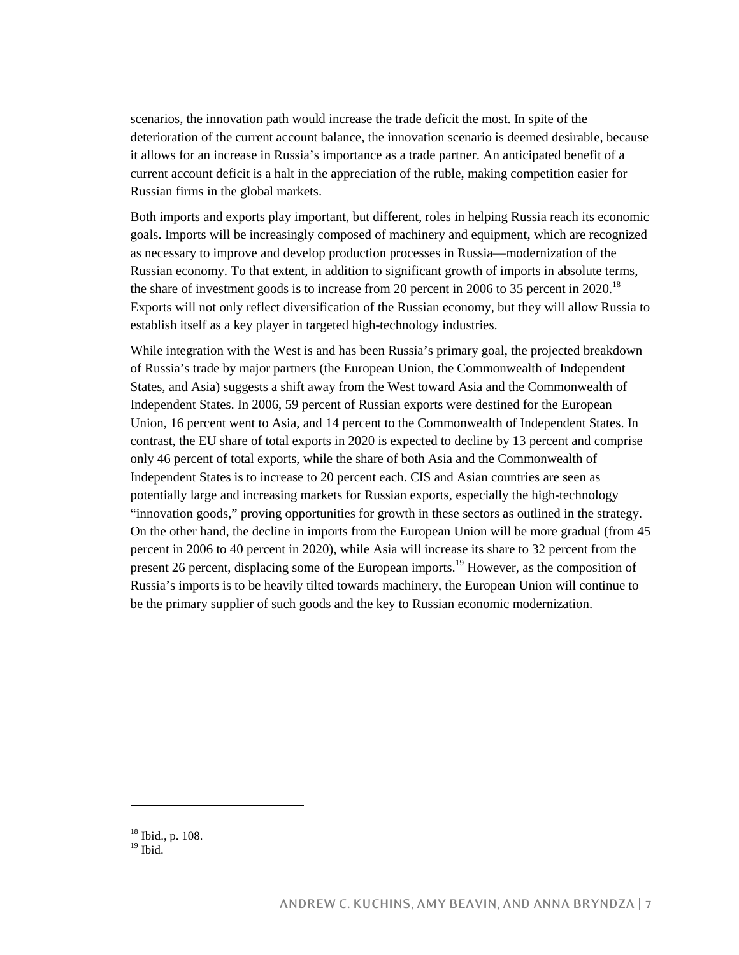scenarios, the innovation path would increase the trade deficit the most. In spite of the deterioration of the current account balance, the innovation scenario is deemed desirable, because it allows for an increase in Russia's importance as a trade partner. An anticipated benefit of a current account deficit is a halt in the appreciation of the ruble, making competition easier for Russian firms in the global markets.

Both imports and exports play important, but different, roles in helping Russia reach its economic goals. Imports will be increasingly composed of machinery and equipment, which are recognized as necessary to improve and develop production processes in Russia—modernization of the Russian economy. To that extent, in addition to significant growth of imports in absolute terms, the share of investment goods is to increase from 20 percent in 2006 to 35 percent in 2020.<sup>18</sup> Exports will not only reflect diversification of the Russian economy, but they will allow Russia to establish itself as a key player in targeted high-technology industries.

While integration with the West is and has been Russia's primary goal, the projected breakdown of Russia's trade by major partners (the European Union, the Commonwealth of Independent States, and Asia) suggests a shift away from the West toward Asia and the Commonwealth of Independent States. In 2006, 59 percent of Russian exports were destined for the European Union, 16 percent went to Asia, and 14 percent to the Commonwealth of Independent States. In contrast, the EU share of total exports in 2020 is expected to decline by 13 percent and comprise only 46 percent of total exports, while the share of both Asia and the Commonwealth of Independent States is to increase to 20 percent each. CIS and Asian countries are seen as potentially large and increasing markets for Russian exports, especially the high-technology "innovation goods," proving opportunities for growth in these sectors as outlined in the strategy. On the other hand, the decline in imports from the European Union will be more gradual (from 45 percent in 2006 to 40 percent in 2020), while Asia will increase its share to 32 percent from the present 26 percent, displacing some of the European imports.<sup>19</sup> However, as the composition of Russia's imports is to be heavily tilted towards machinery, the European Union will continue to be the primary supplier of such goods and the key to Russian economic modernization.

<sup>18</sup> Ibid., p. 108.

 $19$  Ibid.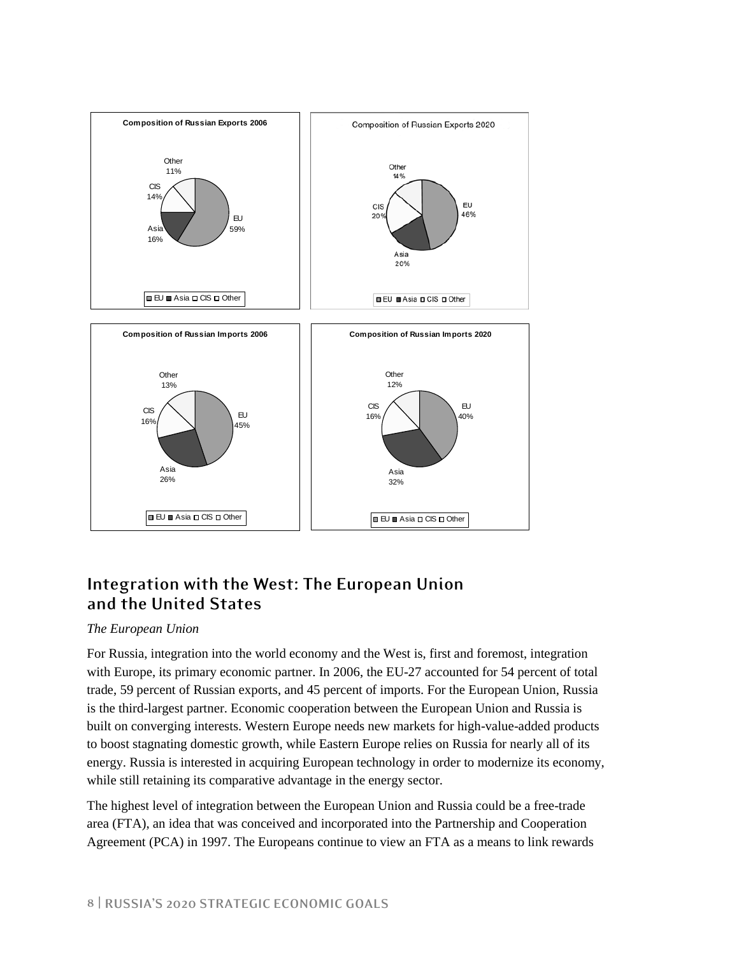

#### **Integration with the West: The European Union and the United States**

#### *The European Union*

For Russia, integration into the world economy and the West is, first and foremost, integration with Europe, its primary economic partner. In 2006, the EU-27 accounted for 54 percent of total trade, 59 percent of Russian exports, and 45 percent of imports. For the European Union, Russia is the third-largest partner. Economic cooperation between the European Union and Russia is built on converging interests. Western Europe needs new markets for high-value-added products to boost stagnating domestic growth, while Eastern Europe relies on Russia for nearly all of its energy. Russia is interested in acquiring European technology in order to modernize its economy, while still retaining its comparative advantage in the energy sector.

The highest level of integration between the European Union and Russia could be a free-trade area (FTA), an idea that was conceived and incorporated into the Partnership and Cooperation Agreement (PCA) in 1997. The Europeans continue to view an FTA as a means to link rewards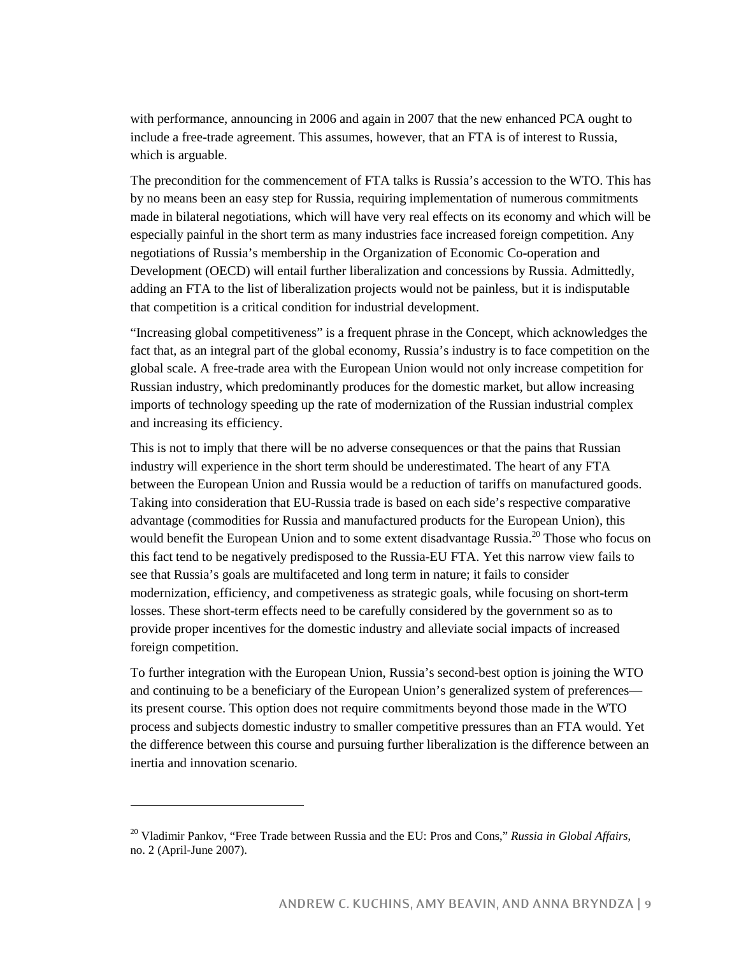with performance, announcing in 2006 and again in 2007 that the new enhanced PCA ought to include a free-trade agreement. This assumes, however, that an FTA is of interest to Russia, which is arguable.

The precondition for the commencement of FTA talks is Russia's accession to the WTO. This has by no means been an easy step for Russia, requiring implementation of numerous commitments made in bilateral negotiations, which will have very real effects on its economy and which will be especially painful in the short term as many industries face increased foreign competition. Any negotiations of Russia's membership in the Organization of Economic Co-operation and Development (OECD) will entail further liberalization and concessions by Russia. Admittedly, adding an FTA to the list of liberalization projects would not be painless, but it is indisputable that competition is a critical condition for industrial development.

"Increasing global competitiveness" is a frequent phrase in the Concept, which acknowledges the fact that, as an integral part of the global economy, Russia's industry is to face competition on the global scale. A free-trade area with the European Union would not only increase competition for Russian industry, which predominantly produces for the domestic market, but allow increasing imports of technology speeding up the rate of modernization of the Russian industrial complex and increasing its efficiency.

This is not to imply that there will be no adverse consequences or that the pains that Russian industry will experience in the short term should be underestimated. The heart of any FTA between the European Union and Russia would be a reduction of tariffs on manufactured goods. Taking into consideration that EU-Russia trade is based on each side's respective comparative advantage (commodities for Russia and manufactured products for the European Union), this would benefit the European Union and to some extent disadvantage Russia.<sup>20</sup> Those who focus on this fact tend to be negatively predisposed to the Russia-EU FTA. Yet this narrow view fails to see that Russia's goals are multifaceted and long term in nature; it fails to consider modernization, efficiency, and competiveness as strategic goals, while focusing on short-term losses. These short-term effects need to be carefully considered by the government so as to provide proper incentives for the domestic industry and alleviate social impacts of increased foreign competition.

To further integration with the European Union, Russia's second-best option is joining the WTO and continuing to be a beneficiary of the European Union's generalized system of preferences its present course. This option does not require commitments beyond those made in the WTO process and subjects domestic industry to smaller competitive pressures than an FTA would. Yet the difference between this course and pursuing further liberalization is the difference between an inertia and innovation scenario.

<sup>20</sup> Vladimir Pankov, "Free Trade between Russia and the EU: Pros and Cons," *Russia in Global Affairs*, no. 2 (April-June 2007).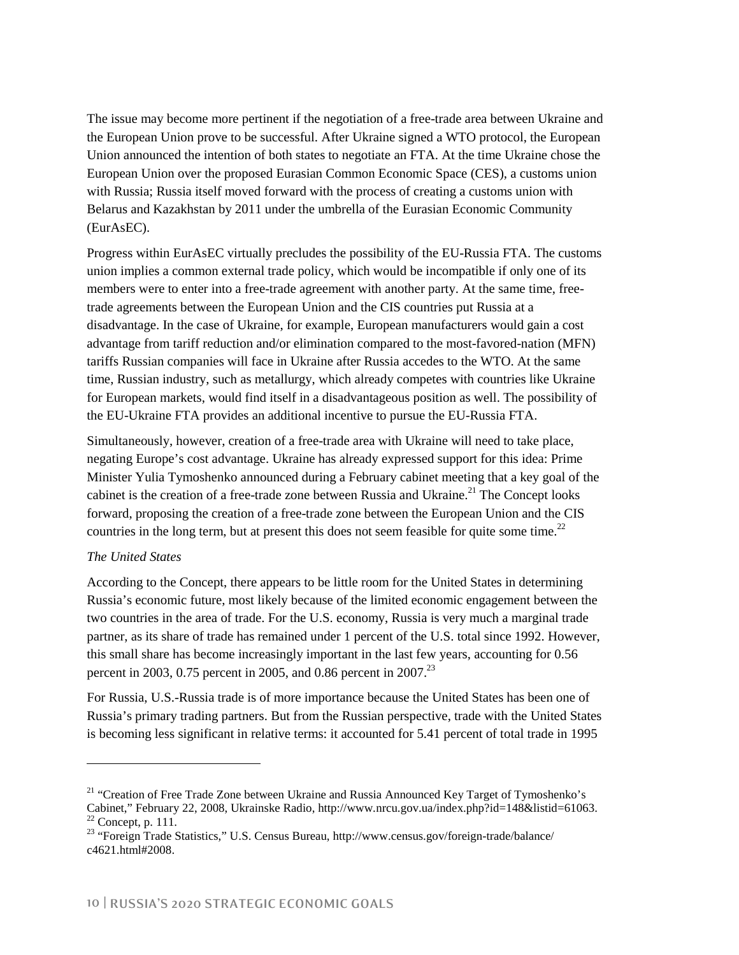The issue may become more pertinent if the negotiation of a free-trade area between Ukraine and the European Union prove to be successful. After Ukraine signed a WTO protocol, the European Union announced the intention of both states to negotiate an FTA. At the time Ukraine chose the European Union over the proposed Eurasian Common Economic Space (CES), a customs union with Russia; Russia itself moved forward with the process of creating a customs union with Belarus and Kazakhstan by 2011 under the umbrella of the Eurasian Economic Community (EurAsEC).

Progress within EurAsEC virtually precludes the possibility of the EU-Russia FTA. The customs union implies a common external trade policy, which would be incompatible if only one of its members were to enter into a free-trade agreement with another party. At the same time, freetrade agreements between the European Union and the CIS countries put Russia at a disadvantage. In the case of Ukraine, for example, European manufacturers would gain a cost advantage from tariff reduction and/or elimination compared to the most-favored-nation (MFN) tariffs Russian companies will face in Ukraine after Russia accedes to the WTO. At the same time, Russian industry, such as metallurgy, which already competes with countries like Ukraine for European markets, would find itself in a disadvantageous position as well. The possibility of the EU-Ukraine FTA provides an additional incentive to pursue the EU-Russia FTA.

Simultaneously, however, creation of a free-trade area with Ukraine will need to take place, negating Europe's cost advantage. Ukraine has already expressed support for this idea: Prime Minister Yulia Tymoshenko announced during a February cabinet meeting that a key goal of the cabinet is the creation of a free-trade zone between Russia and Ukraine.<sup>21</sup> The Concept looks forward, proposing the creation of a free-trade zone between the European Union and the CIS countries in the long term, but at present this does not seem feasible for quite some time.<sup>22</sup>

#### *The United States*

-

According to the Concept, there appears to be little room for the United States in determining Russia's economic future, most likely because of the limited economic engagement between the two countries in the area of trade. For the U.S. economy, Russia is very much a marginal trade partner, as its share of trade has remained under 1 percent of the U.S. total since 1992. However, this small share has become increasingly important in the last few years, accounting for 0.56 percent in 2003, 0.75 percent in 2005, and 0.86 percent in 2007.<sup>23</sup>

For Russia, U.S.-Russia trade is of more importance because the United States has been one of Russia's primary trading partners. But from the Russian perspective, trade with the United States is becoming less significant in relative terms: it accounted for 5.41 percent of total trade in 1995

<sup>&</sup>lt;sup>21</sup> "Creation of Free Trade Zone between Ukraine and Russia Announced Key Target of Tymoshenko's Cabinet," February 22, 2008, Ukrainske Radio, http://www.nrcu.gov.ua/index.php?id=148&listid=61063. 22 Concept, p. 111.

<sup>&</sup>lt;sup>23</sup> "Foreign Trade Statistics," U.S. Census Bureau, http://www.census.gov/foreign-trade/balance/ c4621.html#2008.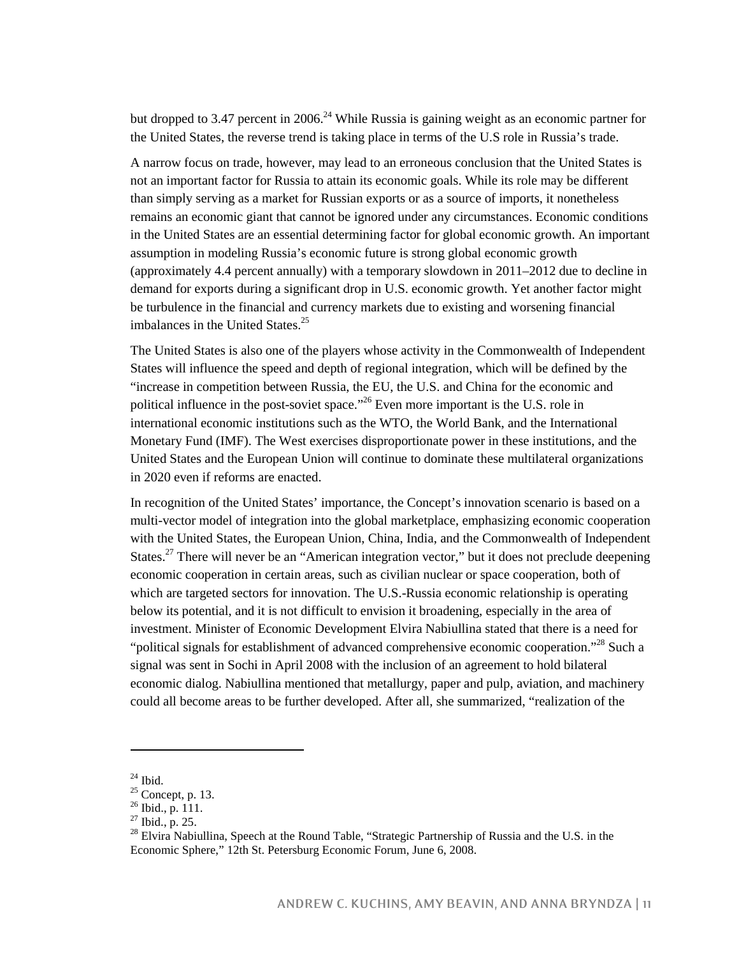but dropped to 3.47 percent in 2006.<sup>24</sup> While Russia is gaining weight as an economic partner for the United States, the reverse trend is taking place in terms of the U.S role in Russia's trade.

A narrow focus on trade, however, may lead to an erroneous conclusion that the United States is not an important factor for Russia to attain its economic goals. While its role may be different than simply serving as a market for Russian exports or as a source of imports, it nonetheless remains an economic giant that cannot be ignored under any circumstances. Economic conditions in the United States are an essential determining factor for global economic growth. An important assumption in modeling Russia's economic future is strong global economic growth (approximately 4.4 percent annually) with a temporary slowdown in 2011–2012 due to decline in demand for exports during a significant drop in U.S. economic growth. Yet another factor might be turbulence in the financial and currency markets due to existing and worsening financial imbalances in the United States. $25$ 

The United States is also one of the players whose activity in the Commonwealth of Independent States will influence the speed and depth of regional integration, which will be defined by the "increase in competition between Russia, the EU, the U.S. and China for the economic and political influence in the post-soviet space."<sup>26</sup> Even more important is the U.S. role in international economic institutions such as the WTO, the World Bank, and the International Monetary Fund (IMF). The West exercises disproportionate power in these institutions, and the United States and the European Union will continue to dominate these multilateral organizations in 2020 even if reforms are enacted.

In recognition of the United States' importance, the Concept's innovation scenario is based on a multi-vector model of integration into the global marketplace, emphasizing economic cooperation with the United States, the European Union, China, India, and the Commonwealth of Independent States.<sup>27</sup> There will never be an "American integration vector," but it does not preclude deepening economic cooperation in certain areas, such as civilian nuclear or space cooperation, both of which are targeted sectors for innovation. The U.S.-Russia economic relationship is operating below its potential, and it is not difficult to envision it broadening, especially in the area of investment. Minister of Economic Development Elvira Nabiullina stated that there is a need for "political signals for establishment of advanced comprehensive economic cooperation."<sup>28</sup> Such a signal was sent in Sochi in April 2008 with the inclusion of an agreement to hold bilateral economic dialog. Nabiullina mentioned that metallurgy, paper and pulp, aviation, and machinery could all become areas to be further developed. After all, she summarized, "realization of the

 $24$  Ibid.

 $25$  Concept, p. 13.

<sup>26</sup> Ibid., p. 111.

<sup>27</sup> Ibid., p. 25.

<sup>&</sup>lt;sup>28</sup> Elvira Nabiullina, Speech at the Round Table, "Strategic Partnership of Russia and the U.S. in the Economic Sphere," 12th St. Petersburg Economic Forum, June 6, 2008.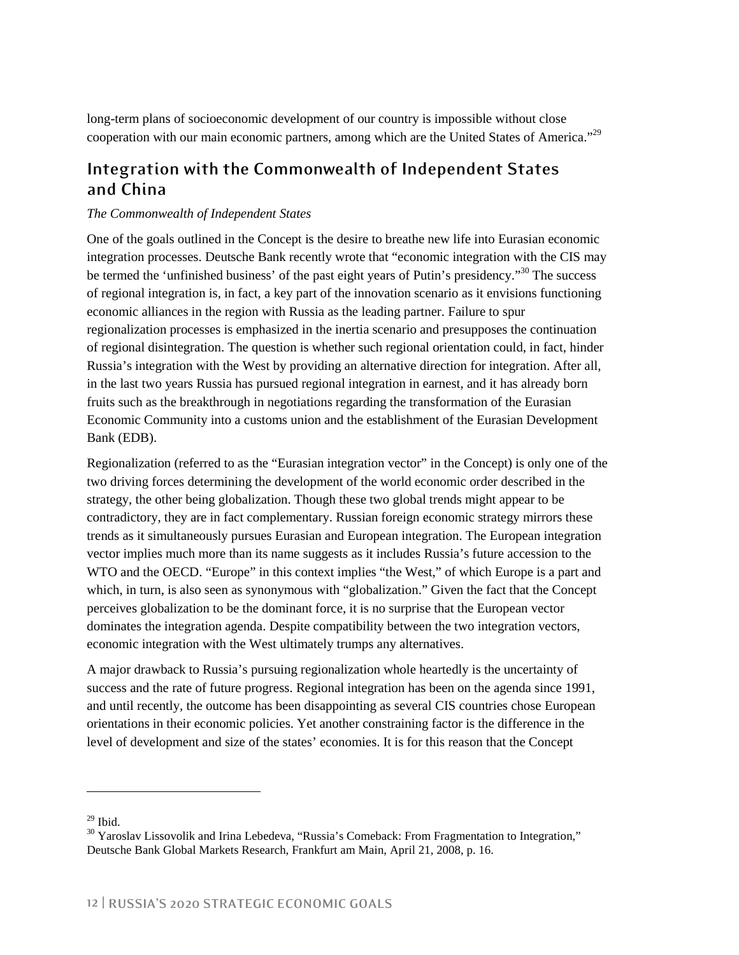long-term plans of socioeconomic development of our country is impossible without close cooperation with our main economic partners, among which are the United States of America."<sup>29</sup>

#### **Integration with the Commonwealth of Independent States and China**

#### *The Commonwealth of Independent States*

One of the goals outlined in the Concept is the desire to breathe new life into Eurasian economic integration processes. Deutsche Bank recently wrote that "economic integration with the CIS may be termed the 'unfinished business' of the past eight years of Putin's presidency.<sup>30</sup> The success of regional integration is, in fact, a key part of the innovation scenario as it envisions functioning economic alliances in the region with Russia as the leading partner. Failure to spur regionalization processes is emphasized in the inertia scenario and presupposes the continuation of regional disintegration. The question is whether such regional orientation could, in fact, hinder Russia's integration with the West by providing an alternative direction for integration. After all, in the last two years Russia has pursued regional integration in earnest, and it has already born fruits such as the breakthrough in negotiations regarding the transformation of the Eurasian Economic Community into a customs union and the establishment of the Eurasian Development Bank (EDB).

Regionalization (referred to as the "Eurasian integration vector" in the Concept) is only one of the two driving forces determining the development of the world economic order described in the strategy, the other being globalization. Though these two global trends might appear to be contradictory, they are in fact complementary. Russian foreign economic strategy mirrors these trends as it simultaneously pursues Eurasian and European integration. The European integration vector implies much more than its name suggests as it includes Russia's future accession to the WTO and the OECD. "Europe" in this context implies "the West," of which Europe is a part and which, in turn, is also seen as synonymous with "globalization." Given the fact that the Concept perceives globalization to be the dominant force, it is no surprise that the European vector dominates the integration agenda. Despite compatibility between the two integration vectors, economic integration with the West ultimately trumps any alternatives.

A major drawback to Russia's pursuing regionalization whole heartedly is the uncertainty of success and the rate of future progress. Regional integration has been on the agenda since 1991, and until recently, the outcome has been disappointing as several CIS countries chose European orientations in their economic policies. Yet another constraining factor is the difference in the level of development and size of the states' economies. It is for this reason that the Concept

 $29$  Ibid.

<sup>&</sup>lt;sup>30</sup> Yaroslav Lissovolik and Irina Lebedeva, "Russia's Comeback: From Fragmentation to Integration," Deutsche Bank Global Markets Research, Frankfurt am Main, April 21, 2008, p. 16.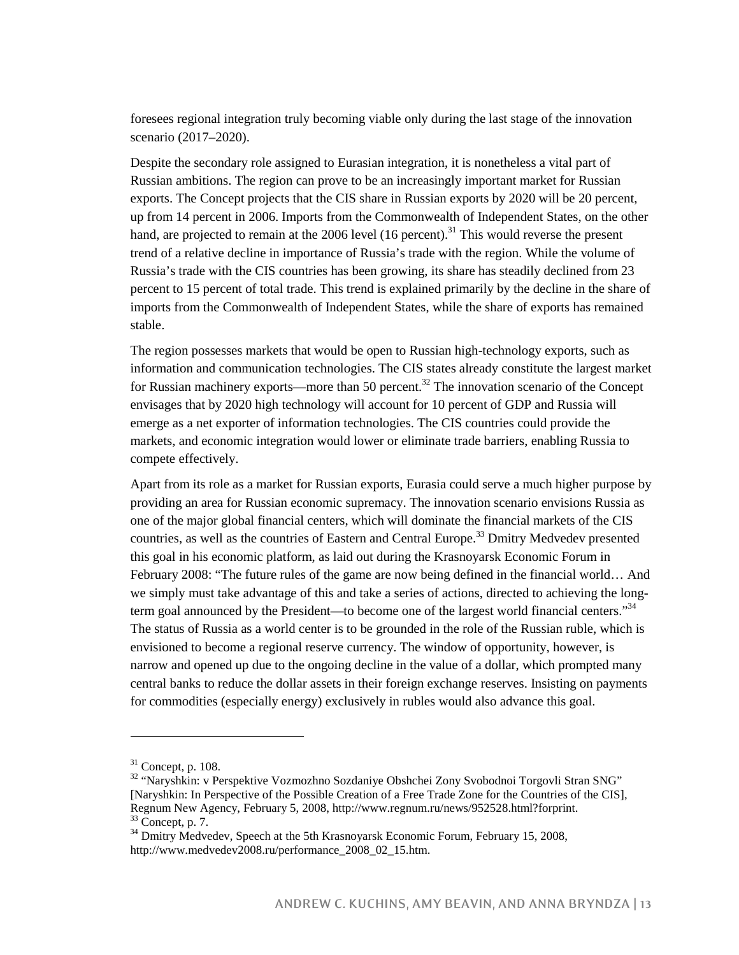foresees regional integration truly becoming viable only during the last stage of the innovation scenario (2017–2020).

Despite the secondary role assigned to Eurasian integration, it is nonetheless a vital part of Russian ambitions. The region can prove to be an increasingly important market for Russian exports. The Concept projects that the CIS share in Russian exports by 2020 will be 20 percent, up from 14 percent in 2006. Imports from the Commonwealth of Independent States, on the other hand, are projected to remain at the 2006 level  $(16$  percent).<sup>31</sup> This would reverse the present trend of a relative decline in importance of Russia's trade with the region. While the volume of Russia's trade with the CIS countries has been growing, its share has steadily declined from 23 percent to 15 percent of total trade. This trend is explained primarily by the decline in the share of imports from the Commonwealth of Independent States, while the share of exports has remained stable.

The region possesses markets that would be open to Russian high-technology exports, such as information and communication technologies. The CIS states already constitute the largest market for Russian machinery exports—more than 50 percent.<sup>32</sup> The innovation scenario of the Concept envisages that by 2020 high technology will account for 10 percent of GDP and Russia will emerge as a net exporter of information technologies. The CIS countries could provide the markets, and economic integration would lower or eliminate trade barriers, enabling Russia to compete effectively.

Apart from its role as a market for Russian exports, Eurasia could serve a much higher purpose by providing an area for Russian economic supremacy. The innovation scenario envisions Russia as one of the major global financial centers, which will dominate the financial markets of the CIS countries, as well as the countries of Eastern and Central Europe.<sup>33</sup> Dmitry Medvedev presented this goal in his economic platform, as laid out during the Krasnoyarsk Economic Forum in February 2008: "The future rules of the game are now being defined in the financial world… And we simply must take advantage of this and take a series of actions, directed to achieving the longterm goal announced by the President—to become one of the largest world financial centers."<sup>34</sup> The status of Russia as a world center is to be grounded in the role of the Russian ruble, which is envisioned to become a regional reserve currency. The window of opportunity, however, is narrow and opened up due to the ongoing decline in the value of a dollar, which prompted many central banks to reduce the dollar assets in their foreign exchange reserves. Insisting on payments for commodities (especially energy) exclusively in rubles would also advance this goal.

 $31$  Concept, p. 108.

<sup>&</sup>lt;sup>32</sup> "Naryshkin: v Perspektive Vozmozhno Sozdaniye Obshchei Zony Svobodnoi Torgovli Stran SNG" [Naryshkin: In Perspective of the Possible Creation of a Free Trade Zone for the Countries of the CIS], Regnum New Agency, February 5, 2008, http://www.regnum.ru/news/952528.html?forprint.  $33$  Concept, p. 7.

<sup>&</sup>lt;sup>34</sup> Dmitry Medvedev, Speech at the 5th Krasnoyarsk Economic Forum, February 15, 2008, http://www.medvedev2008.ru/performance\_2008\_02\_15.htm.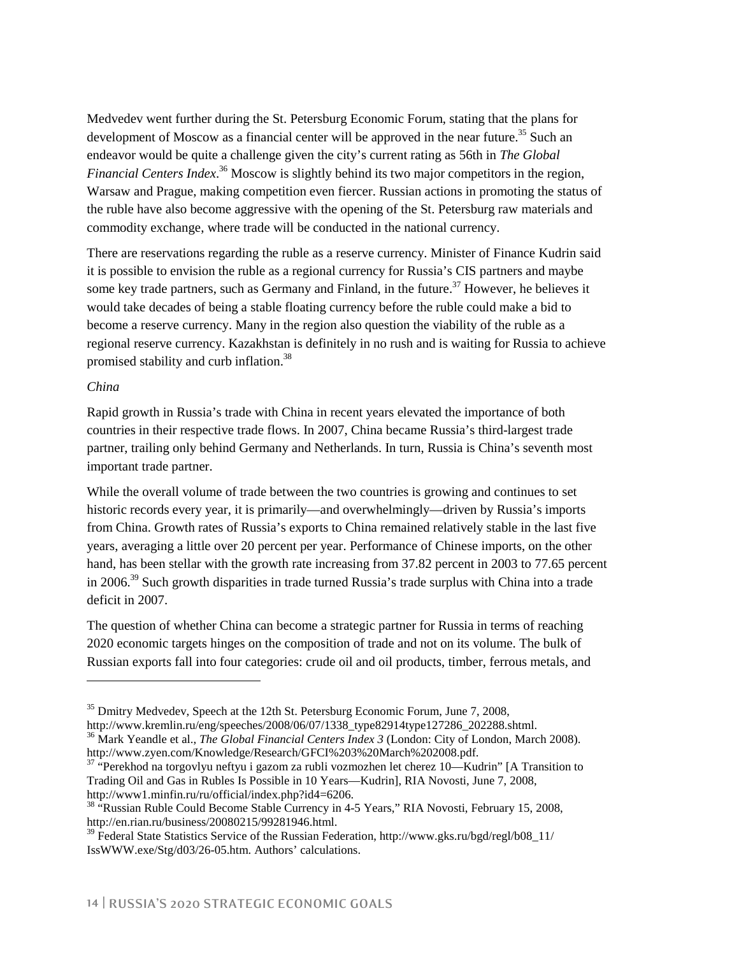Medvedev went further during the St. Petersburg Economic Forum, stating that the plans for development of Moscow as a financial center will be approved in the near future.<sup>35</sup> Such an endeavor would be quite a challenge given the city's current rating as 56th in *The Global Financial Centers Index*. 36 Moscow is slightly behind its two major competitors in the region, Warsaw and Prague, making competition even fiercer. Russian actions in promoting the status of the ruble have also become aggressive with the opening of the St. Petersburg raw materials and commodity exchange, where trade will be conducted in the national currency.

There are reservations regarding the ruble as a reserve currency. Minister of Finance Kudrin said it is possible to envision the ruble as a regional currency for Russia's CIS partners and maybe some key trade partners, such as Germany and Finland, in the future.<sup>37</sup> However, he believes it would take decades of being a stable floating currency before the ruble could make a bid to become a reserve currency. Many in the region also question the viability of the ruble as a regional reserve currency. Kazakhstan is definitely in no rush and is waiting for Russia to achieve promised stability and curb inflation.38

#### *China*

-

Rapid growth in Russia's trade with China in recent years elevated the importance of both countries in their respective trade flows. In 2007, China became Russia's third-largest trade partner, trailing only behind Germany and Netherlands. In turn, Russia is China's seventh most important trade partner.

While the overall volume of trade between the two countries is growing and continues to set historic records every year, it is primarily—and overwhelmingly—driven by Russia's imports from China. Growth rates of Russia's exports to China remained relatively stable in the last five years, averaging a little over 20 percent per year. Performance of Chinese imports, on the other hand, has been stellar with the growth rate increasing from 37.82 percent in 2003 to 77.65 percent in 2006.<sup>39</sup> Such growth disparities in trade turned Russia's trade surplus with China into a trade deficit in 2007.

The question of whether China can become a strategic partner for Russia in terms of reaching 2020 economic targets hinges on the composition of trade and not on its volume. The bulk of Russian exports fall into four categories: crude oil and oil products, timber, ferrous metals, and

 $35$  Dmitry Medvedev, Speech at the 12th St. Petersburg Economic Forum, June 7, 2008, http://www.kremlin.ru/eng/speeches/2008/06/07/1338 type82914type127286 202288.shtml.

<sup>&</sup>lt;sup>36</sup> Mark Yeandle et al., *The Global Financial Centers Index 3* (London: City of London, March 2008). http://www.zyen.com/Knowledge/Research/GFCI%203%20March%202008.pdf.

<sup>&</sup>lt;sup>37</sup> "Perekhod na torgovlyu neftyu i gazom za rubli vozmozhen let cherez 10—Kudrin" [A Transition to Trading Oil and Gas in Rubles Is Possible in 10 Years—Kudrin], RIA Novosti, June 7, 2008, http://www1.minfin.ru/ru/official/index.php?id4=6206.

<sup>&</sup>lt;sup>38</sup> "Russian Ruble Could Become Stable Currency in 4-5 Years," RIA Novosti, February 15, 2008, http://en.rian.ru/business/20080215/99281946.html.

<sup>&</sup>lt;sup>39</sup> Federal State Statistics Service of the Russian Federation, http://www.gks.ru/bgd/regl/b08\_11/ IssWWW.exe/Stg/d03/26-05.htm. Authors' calculations.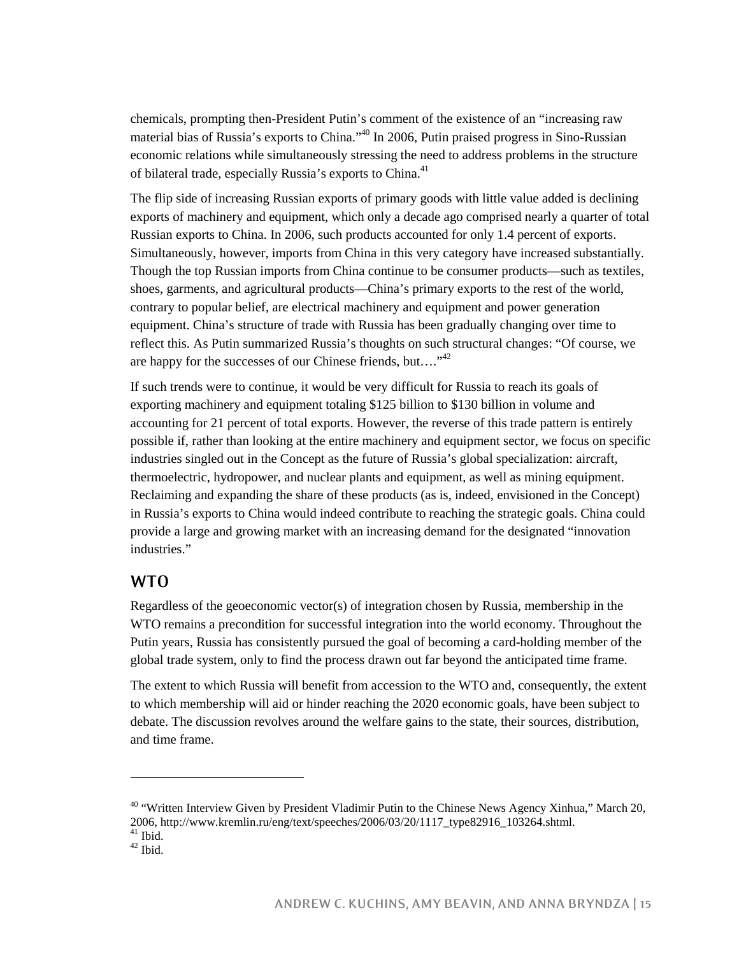chemicals, prompting then-President Putin's comment of the existence of an "increasing raw material bias of Russia's exports to China."<sup>40</sup> In 2006, Putin praised progress in Sino-Russian economic relations while simultaneously stressing the need to address problems in the structure of bilateral trade, especially Russia's exports to China.<sup>41</sup>

The flip side of increasing Russian exports of primary goods with little value added is declining exports of machinery and equipment, which only a decade ago comprised nearly a quarter of total Russian exports to China. In 2006, such products accounted for only 1.4 percent of exports. Simultaneously, however, imports from China in this very category have increased substantially. Though the top Russian imports from China continue to be consumer products—such as textiles, shoes, garments, and agricultural products—China's primary exports to the rest of the world, contrary to popular belief, are electrical machinery and equipment and power generation equipment. China's structure of trade with Russia has been gradually changing over time to reflect this. As Putin summarized Russia's thoughts on such structural changes: "Of course, we are happy for the successes of our Chinese friends, but...."<sup>42</sup>

If such trends were to continue, it would be very difficult for Russia to reach its goals of exporting machinery and equipment totaling \$125 billion to \$130 billion in volume and accounting for 21 percent of total exports. However, the reverse of this trade pattern is entirely possible if, rather than looking at the entire machinery and equipment sector, we focus on specific industries singled out in the Concept as the future of Russia's global specialization: aircraft, thermoelectric, hydropower, and nuclear plants and equipment, as well as mining equipment. Reclaiming and expanding the share of these products (as is, indeed, envisioned in the Concept) in Russia's exports to China would indeed contribute to reaching the strategic goals. China could provide a large and growing market with an increasing demand for the designated "innovation industries."

#### **WTO**

Regardless of the geoeconomic vector(s) of integration chosen by Russia, membership in the WTO remains a precondition for successful integration into the world economy. Throughout the Putin years, Russia has consistently pursued the goal of becoming a card-holding member of the global trade system, only to find the process drawn out far beyond the anticipated time frame.

The extent to which Russia will benefit from accession to the WTO and, consequently, the extent to which membership will aid or hinder reaching the 2020 economic goals, have been subject to debate. The discussion revolves around the welfare gains to the state, their sources, distribution, and time frame.

<sup>&</sup>lt;sup>40</sup> "Written Interview Given by President Vladimir Putin to the Chinese News Agency Xinhua," March 20, 2006, http://www.kremlin.ru/eng/text/speeches/2006/03/20/1117\_type82916\_103264.shtml.  $\frac{41}{42}$  Ibid.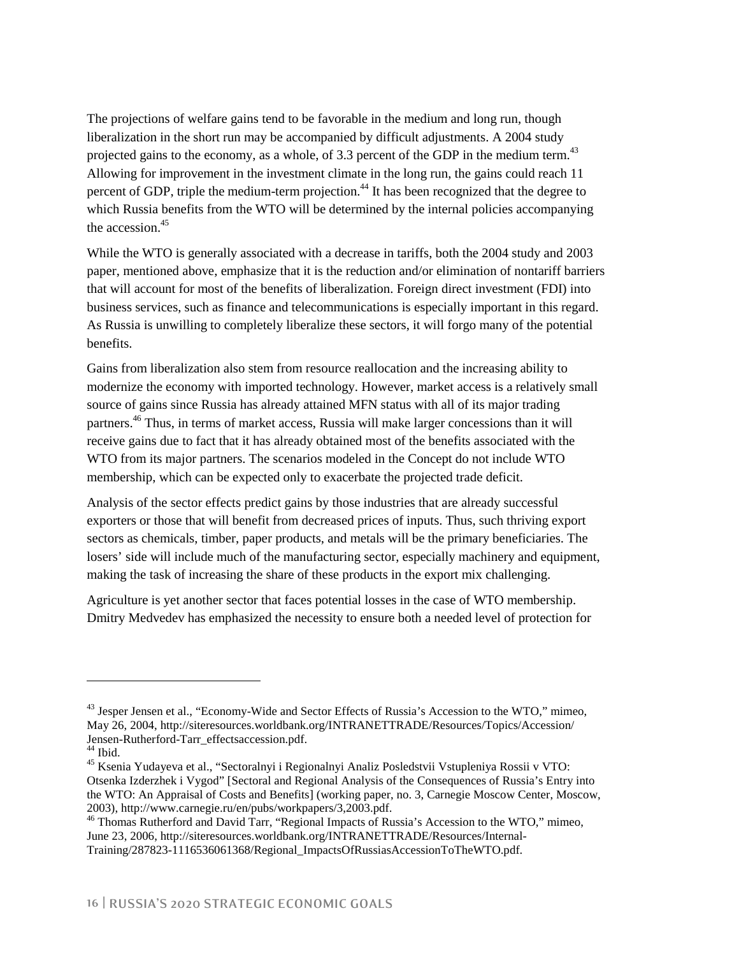The projections of welfare gains tend to be favorable in the medium and long run, though liberalization in the short run may be accompanied by difficult adjustments. A 2004 study projected gains to the economy, as a whole, of  $3.3$  percent of the GDP in the medium term.<sup>43</sup> Allowing for improvement in the investment climate in the long run, the gains could reach 11 percent of GDP, triple the medium-term projection.<sup>44</sup> It has been recognized that the degree to which Russia benefits from the WTO will be determined by the internal policies accompanying the accession  $45$ 

While the WTO is generally associated with a decrease in tariffs, both the 2004 study and 2003 paper, mentioned above, emphasize that it is the reduction and/or elimination of nontariff barriers that will account for most of the benefits of liberalization. Foreign direct investment (FDI) into business services, such as finance and telecommunications is especially important in this regard. As Russia is unwilling to completely liberalize these sectors, it will forgo many of the potential benefits.

Gains from liberalization also stem from resource reallocation and the increasing ability to modernize the economy with imported technology. However, market access is a relatively small source of gains since Russia has already attained MFN status with all of its major trading partners.46 Thus, in terms of market access, Russia will make larger concessions than it will receive gains due to fact that it has already obtained most of the benefits associated with the WTO from its major partners. The scenarios modeled in the Concept do not include WTO membership, which can be expected only to exacerbate the projected trade deficit.

Analysis of the sector effects predict gains by those industries that are already successful exporters or those that will benefit from decreased prices of inputs. Thus, such thriving export sectors as chemicals, timber, paper products, and metals will be the primary beneficiaries. The losers' side will include much of the manufacturing sector, especially machinery and equipment, making the task of increasing the share of these products in the export mix challenging.

Agriculture is yet another sector that faces potential losses in the case of WTO membership. Dmitry Medvedev has emphasized the necessity to ensure both a needed level of protection for

<sup>&</sup>lt;sup>43</sup> Jesper Jensen et al., "Economy-Wide and Sector Effects of Russia's Accession to the WTO," mimeo, May 26, 2004, http://siteresources.worldbank.org/INTRANETTRADE/Resources/Topics/Accession/ Jensen-Rutherford-Tarr\_effectsaccession.pdf.

 $44$  Ibid.

<sup>&</sup>lt;sup>45</sup> Ksenia Yudayeva et al., "Sectoralnyi i Regionalnyi Analiz Posledstvii Vstupleniya Rossii v VTO: Otsenka Izderzhek i Vygod" [Sectoral and Regional Analysis of the Consequences of Russia's Entry into the WTO: An Appraisal of Costs and Benefits] (working paper, no. 3, Carnegie Moscow Center, Moscow, 2003), http://www.carnegie.ru/en/pubs/workpapers/3,2003.pdf.

<sup>46</sup> Thomas Rutherford and David Tarr, "Regional Impacts of Russia's Accession to the WTO," mimeo, June 23, 2006, http://siteresources.worldbank.org/INTRANETTRADE/Resources/Internal-Training/287823-1116536061368/Regional\_ImpactsOfRussiasAccessionToTheWTO.pdf.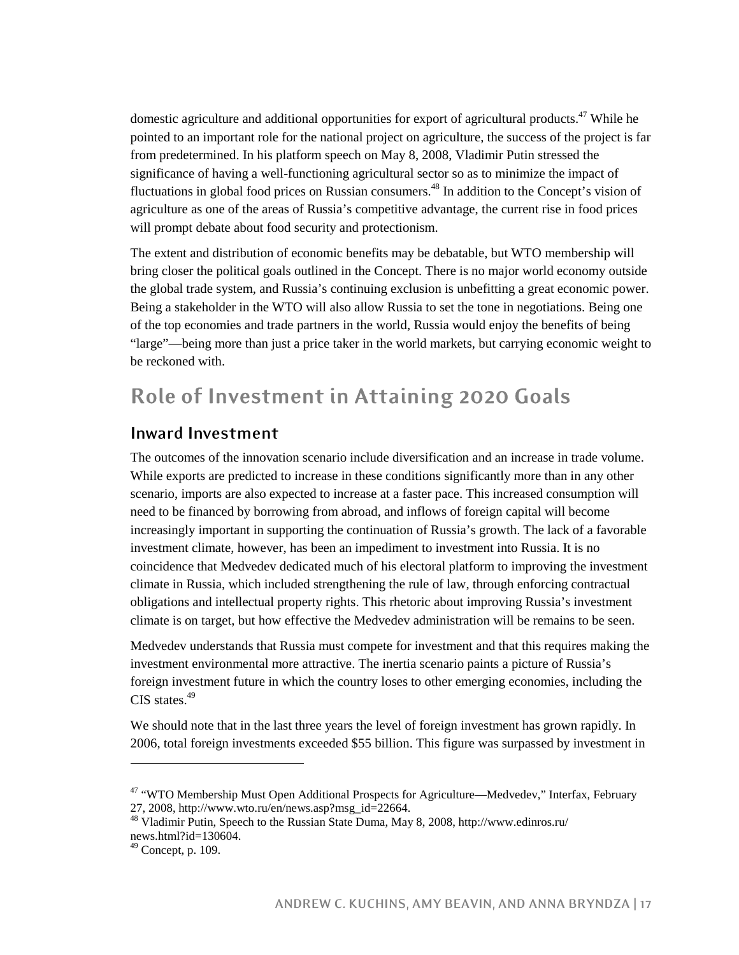domestic agriculture and additional opportunities for export of agricultural products.<sup>47</sup> While he pointed to an important role for the national project on agriculture, the success of the project is far from predetermined. In his platform speech on May 8, 2008, Vladimir Putin stressed the significance of having a well-functioning agricultural sector so as to minimize the impact of fluctuations in global food prices on Russian consumers.<sup>48</sup> In addition to the Concept's vision of agriculture as one of the areas of Russia's competitive advantage, the current rise in food prices will prompt debate about food security and protectionism.

The extent and distribution of economic benefits may be debatable, but WTO membership will bring closer the political goals outlined in the Concept. There is no major world economy outside the global trade system, and Russia's continuing exclusion is unbefitting a great economic power. Being a stakeholder in the WTO will also allow Russia to set the tone in negotiations. Being one of the top economies and trade partners in the world, Russia would enjoy the benefits of being "large"—being more than just a price taker in the world markets, but carrying economic weight to be reckoned with.

# **Role of Investment in Attaining 2020 Goals**

#### **Inward Investment**

The outcomes of the innovation scenario include diversification and an increase in trade volume. While exports are predicted to increase in these conditions significantly more than in any other scenario, imports are also expected to increase at a faster pace. This increased consumption will need to be financed by borrowing from abroad, and inflows of foreign capital will become increasingly important in supporting the continuation of Russia's growth. The lack of a favorable investment climate, however, has been an impediment to investment into Russia. It is no coincidence that Medvedev dedicated much of his electoral platform to improving the investment climate in Russia, which included strengthening the rule of law, through enforcing contractual obligations and intellectual property rights. This rhetoric about improving Russia's investment climate is on target, but how effective the Medvedev administration will be remains to be seen.

Medvedev understands that Russia must compete for investment and that this requires making the investment environmental more attractive. The inertia scenario paints a picture of Russia's foreign investment future in which the country loses to other emerging economies, including the CIS states.<sup>49</sup>

We should note that in the last three years the level of foreign investment has grown rapidly. In 2006, total foreign investments exceeded \$55 billion. This figure was surpassed by investment in

<sup>&</sup>lt;sup>47</sup> "WTO Membership Must Open Additional Prospects for Agriculture—Medvedev," Interfax, February 27, 2008, http://www.wto.ru/en/news.asp?msg\_id=22664.

<sup>48</sup> Vladimir Putin, Speech to the Russian State Duma, May 8, 2008, http://www.edinros.ru/ news.html?id=130604.

<sup>49</sup> Concept, p. 109.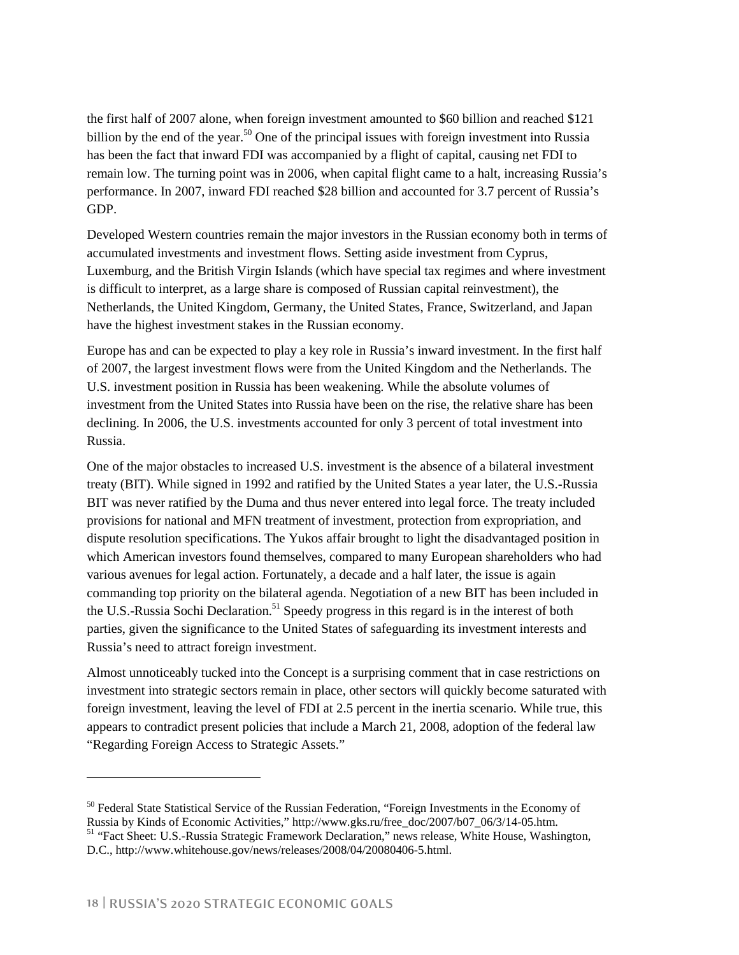the first half of 2007 alone, when foreign investment amounted to \$60 billion and reached \$121 billion by the end of the year.<sup>50</sup> One of the principal issues with foreign investment into Russia has been the fact that inward FDI was accompanied by a flight of capital, causing net FDI to remain low. The turning point was in 2006, when capital flight came to a halt, increasing Russia's performance. In 2007, inward FDI reached \$28 billion and accounted for 3.7 percent of Russia's GDP.

Developed Western countries remain the major investors in the Russian economy both in terms of accumulated investments and investment flows. Setting aside investment from Cyprus, Luxemburg, and the British Virgin Islands (which have special tax regimes and where investment is difficult to interpret, as a large share is composed of Russian capital reinvestment), the Netherlands, the United Kingdom, Germany, the United States, France, Switzerland, and Japan have the highest investment stakes in the Russian economy.

Europe has and can be expected to play a key role in Russia's inward investment. In the first half of 2007, the largest investment flows were from the United Kingdom and the Netherlands. The U.S. investment position in Russia has been weakening. While the absolute volumes of investment from the United States into Russia have been on the rise, the relative share has been declining. In 2006, the U.S. investments accounted for only 3 percent of total investment into Russia.

One of the major obstacles to increased U.S. investment is the absence of a bilateral investment treaty (BIT). While signed in 1992 and ratified by the United States a year later, the U.S.-Russia BIT was never ratified by the Duma and thus never entered into legal force. The treaty included provisions for national and MFN treatment of investment, protection from expropriation, and dispute resolution specifications. The Yukos affair brought to light the disadvantaged position in which American investors found themselves, compared to many European shareholders who had various avenues for legal action. Fortunately, a decade and a half later, the issue is again commanding top priority on the bilateral agenda. Negotiation of a new BIT has been included in the U.S.-Russia Sochi Declaration.<sup>51</sup> Speedy progress in this regard is in the interest of both parties, given the significance to the United States of safeguarding its investment interests and Russia's need to attract foreign investment.

Almost unnoticeably tucked into the Concept is a surprising comment that in case restrictions on investment into strategic sectors remain in place, other sectors will quickly become saturated with foreign investment, leaving the level of FDI at 2.5 percent in the inertia scenario. While true, this appears to contradict present policies that include a March 21, 2008, adoption of the federal law "Regarding Foreign Access to Strategic Assets."

<sup>&</sup>lt;sup>50</sup> Federal State Statistical Service of the Russian Federation, "Foreign Investments in the Economy of Russia by Kinds of Economic Activities," http://www.gks.ru/free\_doc/2007/b07\_06/3/14-05.htm.

<sup>&</sup>lt;sup>51</sup> "Fact Sheet: U.S.-Russia Strategic Framework Declaration," news release, White House, Washington, D.C., http://www.whitehouse.gov/news/releases/2008/04/20080406-5.html.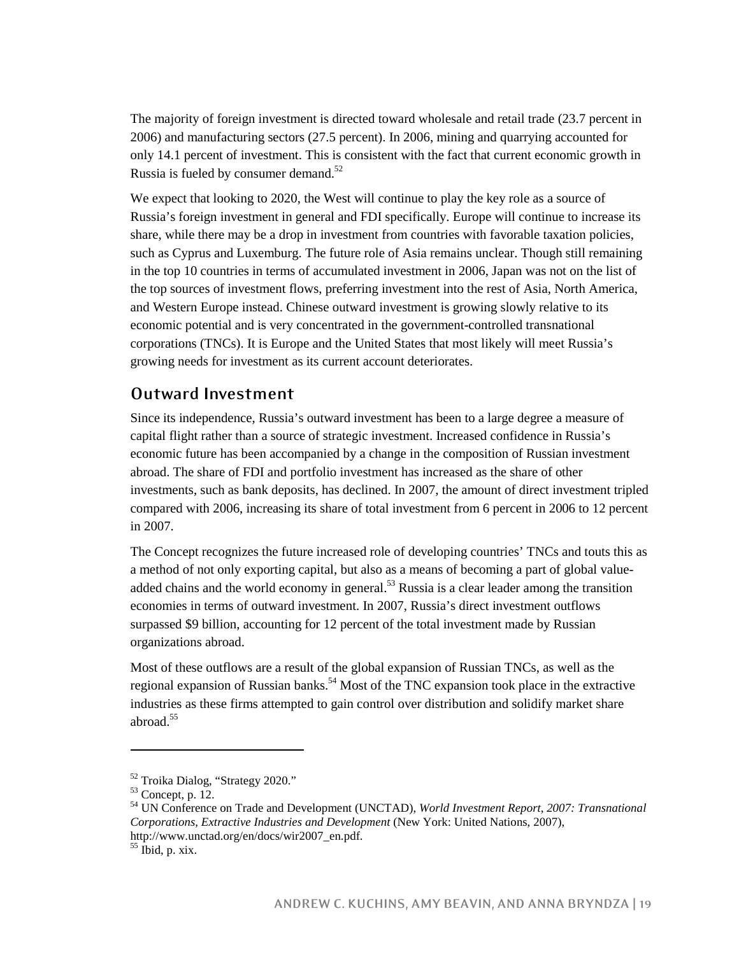The majority of foreign investment is directed toward wholesale and retail trade (23.7 percent in 2006) and manufacturing sectors (27.5 percent). In 2006, mining and quarrying accounted for only 14.1 percent of investment. This is consistent with the fact that current economic growth in Russia is fueled by consumer demand.<sup>52</sup>

We expect that looking to 2020, the West will continue to play the key role as a source of Russia's foreign investment in general and FDI specifically. Europe will continue to increase its share, while there may be a drop in investment from countries with favorable taxation policies, such as Cyprus and Luxemburg. The future role of Asia remains unclear. Though still remaining in the top 10 countries in terms of accumulated investment in 2006, Japan was not on the list of the top sources of investment flows, preferring investment into the rest of Asia, North America, and Western Europe instead. Chinese outward investment is growing slowly relative to its economic potential and is very concentrated in the government-controlled transnational corporations (TNCs). It is Europe and the United States that most likely will meet Russia's growing needs for investment as its current account deteriorates.

#### **Outward Investment**

Since its independence, Russia's outward investment has been to a large degree a measure of capital flight rather than a source of strategic investment. Increased confidence in Russia's economic future has been accompanied by a change in the composition of Russian investment abroad. The share of FDI and portfolio investment has increased as the share of other investments, such as bank deposits, has declined. In 2007, the amount of direct investment tripled compared with 2006, increasing its share of total investment from 6 percent in 2006 to 12 percent in 2007.

The Concept recognizes the future increased role of developing countries' TNCs and touts this as a method of not only exporting capital, but also as a means of becoming a part of global valueadded chains and the world economy in general.<sup>53</sup> Russia is a clear leader among the transition economies in terms of outward investment. In 2007, Russia's direct investment outflows surpassed \$9 billion, accounting for 12 percent of the total investment made by Russian organizations abroad.

Most of these outflows are a result of the global expansion of Russian TNCs, as well as the regional expansion of Russian banks.<sup>54</sup> Most of the TNC expansion took place in the extractive industries as these firms attempted to gain control over distribution and solidify market share abroad.<sup>55</sup>

<sup>52</sup> Troika Dialog, "Strategy 2020."

<sup>53</sup> Concept, p. 12.

<sup>54</sup> UN Conference on Trade and Development (UNCTAD), *World Investment Report, 2007: Transnational Corporations, Extractive Industries and Development* (New York: United Nations, 2007), http://www.unctad.org/en/docs/wir2007\_en.pdf.

 $55$  Ibid, p. xix.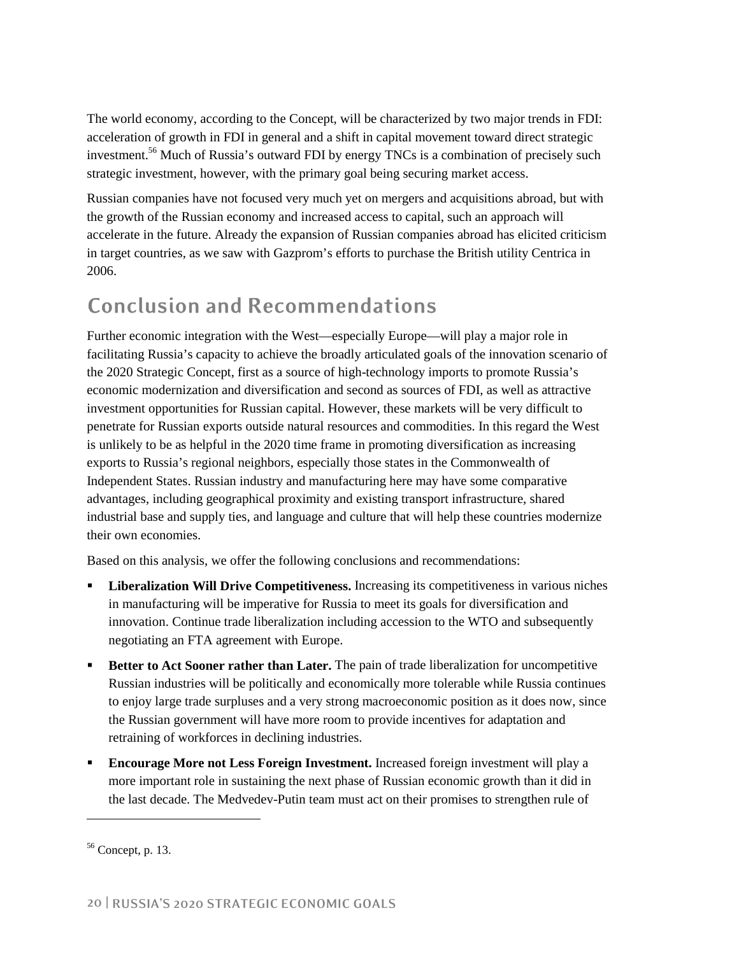The world economy, according to the Concept, will be characterized by two major trends in FDI: acceleration of growth in FDI in general and a shift in capital movement toward direct strategic investment.<sup>56</sup> Much of Russia's outward FDI by energy TNCs is a combination of precisely such strategic investment, however, with the primary goal being securing market access.

Russian companies have not focused very much yet on mergers and acquisitions abroad, but with the growth of the Russian economy and increased access to capital, such an approach will accelerate in the future. Already the expansion of Russian companies abroad has elicited criticism in target countries, as we saw with Gazprom's efforts to purchase the British utility Centrica in 2006.

## **Conclusion and Recommendations**

Further economic integration with the West—especially Europe—will play a major role in facilitating Russia's capacity to achieve the broadly articulated goals of the innovation scenario of the 2020 Strategic Concept, first as a source of high-technology imports to promote Russia's economic modernization and diversification and second as sources of FDI, as well as attractive investment opportunities for Russian capital. However, these markets will be very difficult to penetrate for Russian exports outside natural resources and commodities. In this regard the West is unlikely to be as helpful in the 2020 time frame in promoting diversification as increasing exports to Russia's regional neighbors, especially those states in the Commonwealth of Independent States. Russian industry and manufacturing here may have some comparative advantages, including geographical proximity and existing transport infrastructure, shared industrial base and supply ties, and language and culture that will help these countries modernize their own economies.

Based on this analysis, we offer the following conclusions and recommendations:

- **Liberalization Will Drive Competitiveness.** Increasing its competitiveness in various niches in manufacturing will be imperative for Russia to meet its goals for diversification and innovation. Continue trade liberalization including accession to the WTO and subsequently negotiating an FTA agreement with Europe.
- **Better to Act Sooner rather than Later.** The pain of trade liberalization for uncompetitive Russian industries will be politically and economically more tolerable while Russia continues to enjoy large trade surpluses and a very strong macroeconomic position as it does now, since the Russian government will have more room to provide incentives for adaptation and retraining of workforces in declining industries.
- **Encourage More not Less Foreign Investment.** Increased foreign investment will play a more important role in sustaining the next phase of Russian economic growth than it did in the last decade. The Medvedev-Putin team must act on their promises to strengthen rule of

 $56$  Concept, p. 13.